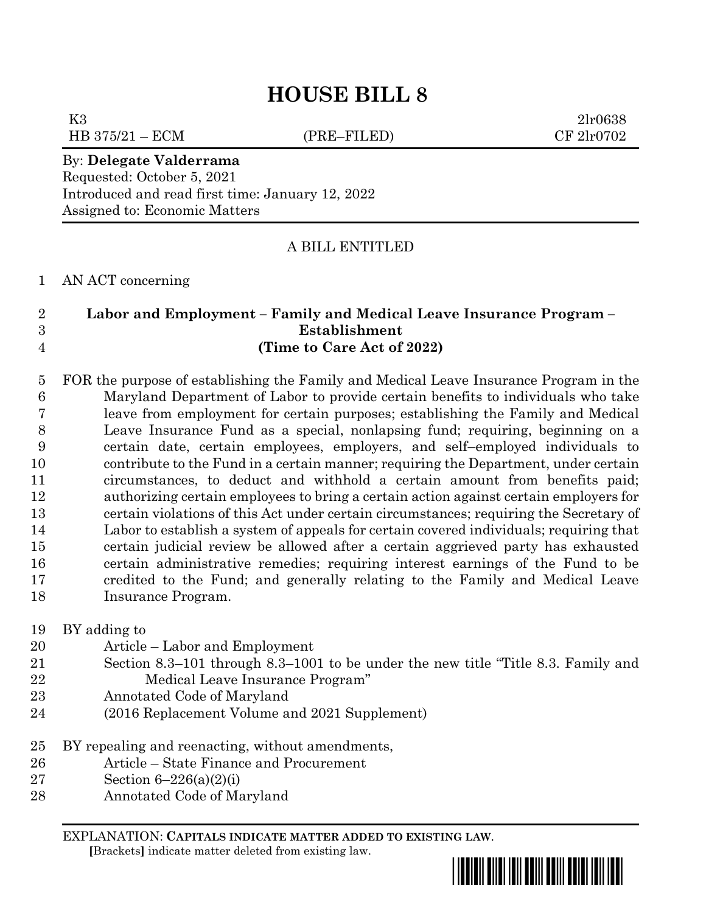K3 2lr0638

HB 375/21 – ECM (PRE–FILED) CF 2lr0702

By: **Delegate Valderrama** Requested: October 5, 2021 Introduced and read first time: January 12, 2022 Assigned to: Economic Matters

# A BILL ENTITLED

AN ACT concerning

# **Labor and Employment – Family and Medical Leave Insurance Program – Establishment (Time to Care Act of 2022)**

 FOR the purpose of establishing the Family and Medical Leave Insurance Program in the Maryland Department of Labor to provide certain benefits to individuals who take leave from employment for certain purposes; establishing the Family and Medical Leave Insurance Fund as a special, nonlapsing fund; requiring, beginning on a certain date, certain employees, employers, and self–employed individuals to contribute to the Fund in a certain manner; requiring the Department, under certain circumstances, to deduct and withhold a certain amount from benefits paid; authorizing certain employees to bring a certain action against certain employers for certain violations of this Act under certain circumstances; requiring the Secretary of Labor to establish a system of appeals for certain covered individuals; requiring that certain judicial review be allowed after a certain aggrieved party has exhausted certain administrative remedies; requiring interest earnings of the Fund to be credited to the Fund; and generally relating to the Family and Medical Leave Insurance Program.

BY adding to

- Article Labor and Employment
- Section 8.3–101 through 8.3–1001 to be under the new title "Title 8.3. Family and Medical Leave Insurance Program"
- Annotated Code of Maryland
- (2016 Replacement Volume and 2021 Supplement)
- BY repealing and reenacting, without amendments,
- Article State Finance and Procurement
- Section 6–226(a)(2)(i)
- Annotated Code of Maryland

EXPLANATION: **CAPITALS INDICATE MATTER ADDED TO EXISTING LAW**.  **[**Brackets**]** indicate matter deleted from existing law.

\*hb0008\*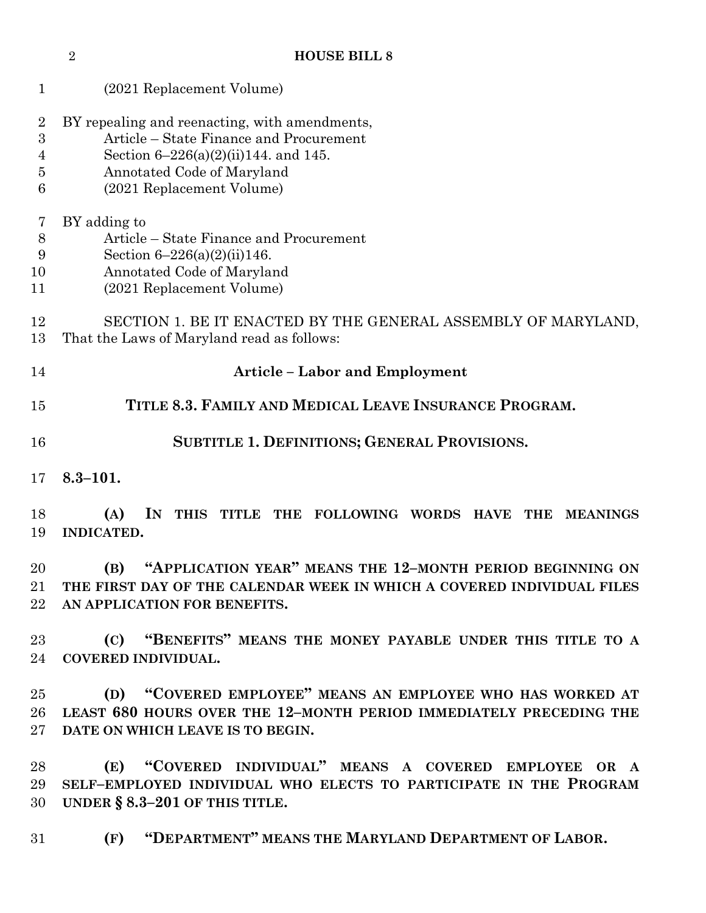(2021 Replacement Volume) BY repealing and reenacting, with amendments, Article – State Finance and Procurement Section 6–226(a)(2)(ii)144. and 145. Annotated Code of Maryland (2021 Replacement Volume) BY adding to Article – State Finance and Procurement Section 6–226(a)(2)(ii)146. Annotated Code of Maryland (2021 Replacement Volume) SECTION 1. BE IT ENACTED BY THE GENERAL ASSEMBLY OF MARYLAND, That the Laws of Maryland read as follows: **Article – Labor and Employment TITLE 8.3. FAMILY AND MEDICAL LEAVE INSURANCE PROGRAM. SUBTITLE 1. DEFINITIONS; GENERAL PROVISIONS. 8.3–101. (A) IN THIS TITLE THE FOLLOWING WORDS HAVE THE MEANINGS INDICATED. (B) "APPLICATION YEAR" MEANS THE 12–MONTH PERIOD BEGINNING ON THE FIRST DAY OF THE CALENDAR WEEK IN WHICH A COVERED INDIVIDUAL FILES AN APPLICATION FOR BENEFITS. (C) "BENEFITS" MEANS THE MONEY PAYABLE UNDER THIS TITLE TO A COVERED INDIVIDUAL.**

**HOUSE BILL 8**

 **(D) "COVERED EMPLOYEE" MEANS AN EMPLOYEE WHO HAS WORKED AT LEAST 680 HOURS OVER THE 12–MONTH PERIOD IMMEDIATELY PRECEDING THE DATE ON WHICH LEAVE IS TO BEGIN.**

 **(E) "COVERED INDIVIDUAL" MEANS A COVERED EMPLOYEE OR A SELF–EMPLOYED INDIVIDUAL WHO ELECTS TO PARTICIPATE IN THE PROGRAM UNDER § 8.3–201 OF THIS TITLE.**

**(F) "DEPARTMENT" MEANS THE MARYLAND DEPARTMENT OF LABOR.**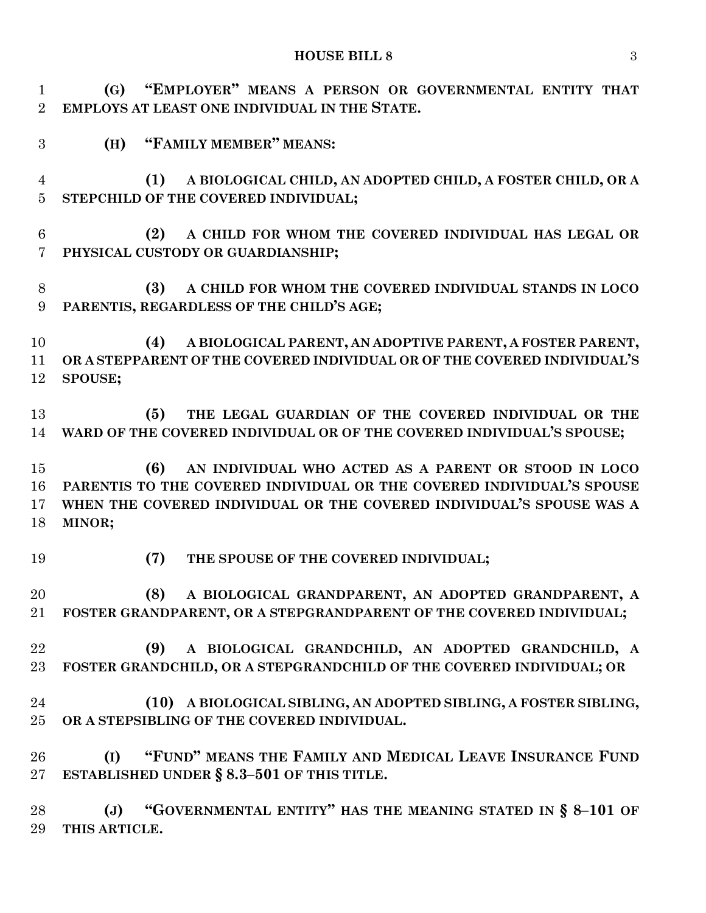**(G) "EMPLOYER" MEANS A PERSON OR GOVERNMENTAL ENTITY THAT EMPLOYS AT LEAST ONE INDIVIDUAL IN THE STATE.**

**(H) "FAMILY MEMBER" MEANS:**

 **(1) A BIOLOGICAL CHILD, AN ADOPTED CHILD, A FOSTER CHILD, OR A STEPCHILD OF THE COVERED INDIVIDUAL;**

- **(2) A CHILD FOR WHOM THE COVERED INDIVIDUAL HAS LEGAL OR PHYSICAL CUSTODY OR GUARDIANSHIP;**
- **(3) A CHILD FOR WHOM THE COVERED INDIVIDUAL STANDS IN LOCO PARENTIS, REGARDLESS OF THE CHILD'S AGE;**

 **(4) A BIOLOGICAL PARENT, AN ADOPTIVE PARENT, A FOSTER PARENT, OR A STEPPARENT OF THE COVERED INDIVIDUAL OR OF THE COVERED INDIVIDUAL'S SPOUSE;**

 **(5) THE LEGAL GUARDIAN OF THE COVERED INDIVIDUAL OR THE WARD OF THE COVERED INDIVIDUAL OR OF THE COVERED INDIVIDUAL'S SPOUSE;**

 **(6) AN INDIVIDUAL WHO ACTED AS A PARENT OR STOOD IN LOCO PARENTIS TO THE COVERED INDIVIDUAL OR THE COVERED INDIVIDUAL'S SPOUSE WHEN THE COVERED INDIVIDUAL OR THE COVERED INDIVIDUAL'S SPOUSE WAS A MINOR;**

**(7) THE SPOUSE OF THE COVERED INDIVIDUAL;**

 **(8) A BIOLOGICAL GRANDPARENT, AN ADOPTED GRANDPARENT, A FOSTER GRANDPARENT, OR A STEPGRANDPARENT OF THE COVERED INDIVIDUAL;**

 **(9) A BIOLOGICAL GRANDCHILD, AN ADOPTED GRANDCHILD, A FOSTER GRANDCHILD, OR A STEPGRANDCHILD OF THE COVERED INDIVIDUAL; OR**

 **(10) A BIOLOGICAL SIBLING, AN ADOPTED SIBLING, A FOSTER SIBLING, OR A STEPSIBLING OF THE COVERED INDIVIDUAL.**

 **(I) "FUND" MEANS THE FAMILY AND MEDICAL LEAVE INSURANCE FUND ESTABLISHED UNDER § 8.3–501 OF THIS TITLE.**

 **(J) "GOVERNMENTAL ENTITY" HAS THE MEANING STATED IN § 8–101 OF THIS ARTICLE.**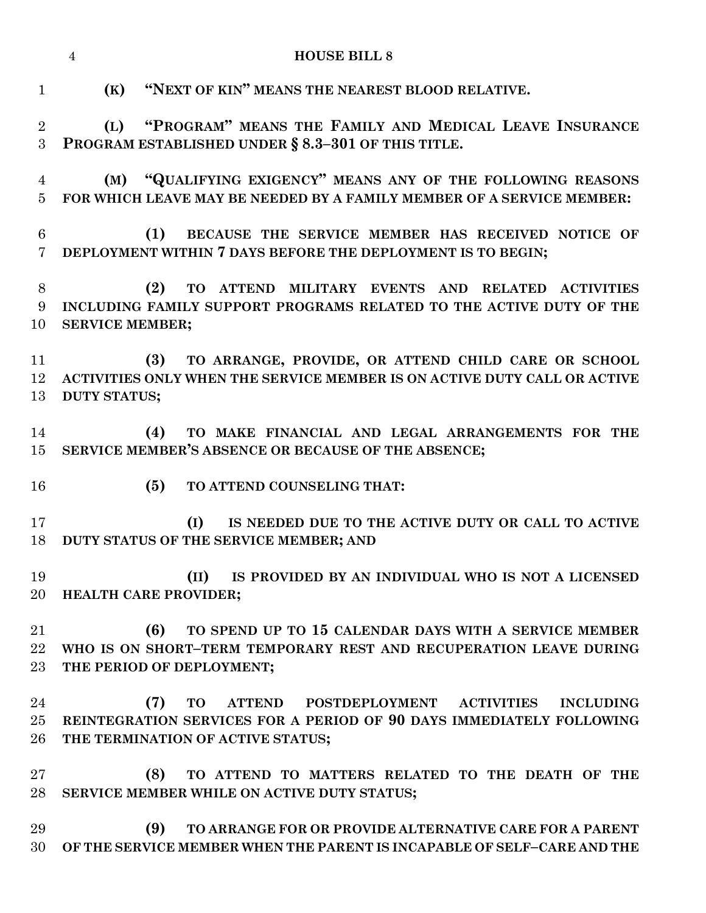**(K) "NEXT OF KIN" MEANS THE NEAREST BLOOD RELATIVE. (L) "PROGRAM" MEANS THE FAMILY AND MEDICAL LEAVE INSURANCE PROGRAM ESTABLISHED UNDER § 8.3–301 OF THIS TITLE. (M) "QUALIFYING EXIGENCY" MEANS ANY OF THE FOLLOWING REASONS FOR WHICH LEAVE MAY BE NEEDED BY A FAMILY MEMBER OF A SERVICE MEMBER: (1) BECAUSE THE SERVICE MEMBER HAS RECEIVED NOTICE OF DEPLOYMENT WITHIN 7 DAYS BEFORE THE DEPLOYMENT IS TO BEGIN; (2) TO ATTEND MILITARY EVENTS AND RELATED ACTIVITIES INCLUDING FAMILY SUPPORT PROGRAMS RELATED TO THE ACTIVE DUTY OF THE SERVICE MEMBER; (3) TO ARRANGE, PROVIDE, OR ATTEND CHILD CARE OR SCHOOL ACTIVITIES ONLY WHEN THE SERVICE MEMBER IS ON ACTIVE DUTY CALL OR ACTIVE DUTY STATUS; (4) TO MAKE FINANCIAL AND LEGAL ARRANGEMENTS FOR THE SERVICE MEMBER'S ABSENCE OR BECAUSE OF THE ABSENCE; (5) TO ATTEND COUNSELING THAT:**

 **(I) IS NEEDED DUE TO THE ACTIVE DUTY OR CALL TO ACTIVE DUTY STATUS OF THE SERVICE MEMBER; AND**

 **(II) IS PROVIDED BY AN INDIVIDUAL WHO IS NOT A LICENSED HEALTH CARE PROVIDER;**

 **(6) TO SPEND UP TO 15 CALENDAR DAYS WITH A SERVICE MEMBER WHO IS ON SHORT–TERM TEMPORARY REST AND RECUPERATION LEAVE DURING THE PERIOD OF DEPLOYMENT;**

 **(7) TO ATTEND POSTDEPLOYMENT ACTIVITIES INCLUDING REINTEGRATION SERVICES FOR A PERIOD OF 90 DAYS IMMEDIATELY FOLLOWING THE TERMINATION OF ACTIVE STATUS;**

 **(8) TO ATTEND TO MATTERS RELATED TO THE DEATH OF THE SERVICE MEMBER WHILE ON ACTIVE DUTY STATUS;**

 **(9) TO ARRANGE FOR OR PROVIDE ALTERNATIVE CARE FOR A PARENT OF THE SERVICE MEMBER WHEN THE PARENT IS INCAPABLE OF SELF–CARE AND THE** 

#### **HOUSE BILL 8**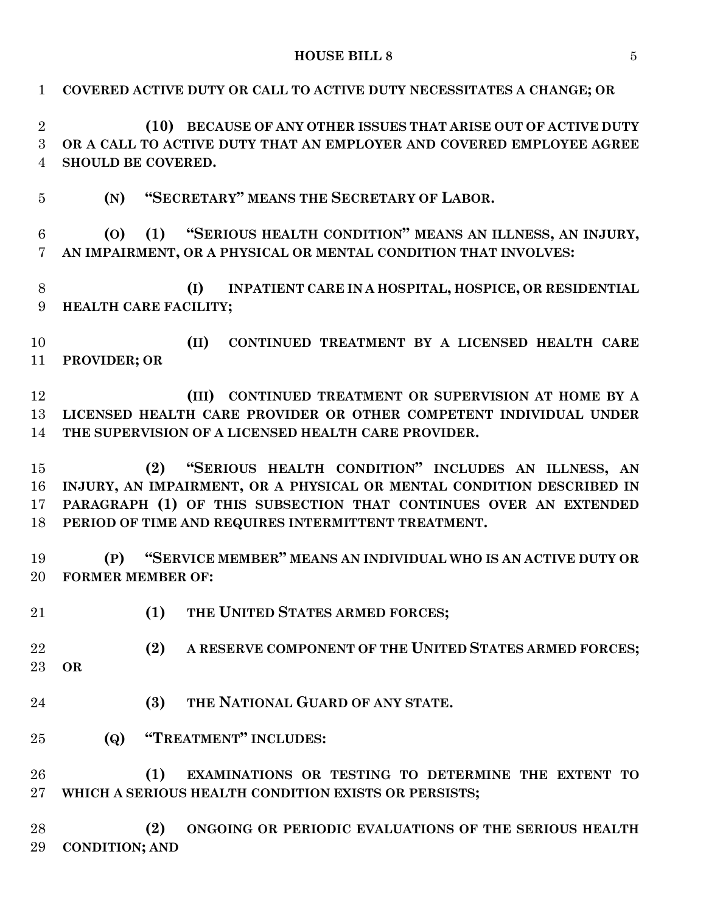| $\mathbf{1}$                                       | COVERED ACTIVE DUTY OR CALL TO ACTIVE DUTY NECESSITATES A CHANGE; OR                                                                                                                                                                                       |
|----------------------------------------------------|------------------------------------------------------------------------------------------------------------------------------------------------------------------------------------------------------------------------------------------------------------|
| $\overline{2}$<br>$\overline{3}$<br>$\overline{4}$ | (10) BECAUSE OF ANY OTHER ISSUES THAT ARISE OUT OF ACTIVE DUTY<br>OR A CALL TO ACTIVE DUTY THAT AN EMPLOYER AND COVERED EMPLOYEE AGREE<br>SHOULD BE COVERED.                                                                                               |
| $\overline{5}$                                     | "SECRETARY" MEANS THE SECRETARY OF LABOR.<br>(N)                                                                                                                                                                                                           |
| 6<br>$\overline{7}$                                | (1) "SERIOUS HEALTH CONDITION" MEANS AN ILLNESS, AN INJURY,<br>(O)<br>AN IMPAIRMENT, OR A PHYSICAL OR MENTAL CONDITION THAT INVOLVES:                                                                                                                      |
| 8<br>9                                             | INPATIENT CARE IN A HOSPITAL, HOSPICE, OR RESIDENTIAL<br>(I)<br>HEALTH CARE FACILITY;                                                                                                                                                                      |
| 10<br>11                                           | (II)<br>CONTINUED TREATMENT BY A LICENSED HEALTH CARE<br>PROVIDER; OR                                                                                                                                                                                      |
| 12<br>13<br>14                                     | CONTINUED TREATMENT OR SUPERVISION AT HOME BY A<br>(III)<br>LICENSED HEALTH CARE PROVIDER OR OTHER COMPETENT INDIVIDUAL UNDER<br>THE SUPERVISION OF A LICENSED HEALTH CARE PROVIDER.                                                                       |
| 15<br>16<br>17<br>18                               | (2) "SERIOUS HEALTH CONDITION" INCLUDES AN ILLNESS, AN<br>INJURY, AN IMPAIRMENT, OR A PHYSICAL OR MENTAL CONDITION DESCRIBED IN<br>PARAGRAPH (1) OF THIS SUBSECTION THAT CONTINUES OVER AN EXTENDED<br>PERIOD OF TIME AND REQUIRES INTERMITTENT TREATMENT. |
| 19<br>20                                           | "SERVICE MEMBER" MEANS AN INDIVIDUAL WHO IS AN ACTIVE DUTY OR<br>(P)<br><b>FORMER MEMBER OF:</b>                                                                                                                                                           |
| 21                                                 | (1)<br>THE UNITED STATES ARMED FORCES;                                                                                                                                                                                                                     |
| 22<br>23                                           | A RESERVE COMPONENT OF THE UNITED STATES ARMED FORCES;<br>(2)<br><b>OR</b>                                                                                                                                                                                 |
| 24                                                 | THE NATIONAL GUARD OF ANY STATE.<br>(3)                                                                                                                                                                                                                    |
| 25                                                 | "TREATMENT" INCLUDES:<br>(Q)                                                                                                                                                                                                                               |
| 26<br>$27\,$                                       | (1)<br>EXAMINATIONS OR TESTING TO DETERMINE THE EXTENT TO<br>WHICH A SERIOUS HEALTH CONDITION EXISTS OR PERSISTS;                                                                                                                                          |
| 28<br>29                                           | (2)<br>ONGOING OR PERIODIC EVALUATIONS OF THE SERIOUS HEALTH<br><b>CONDITION; AND</b>                                                                                                                                                                      |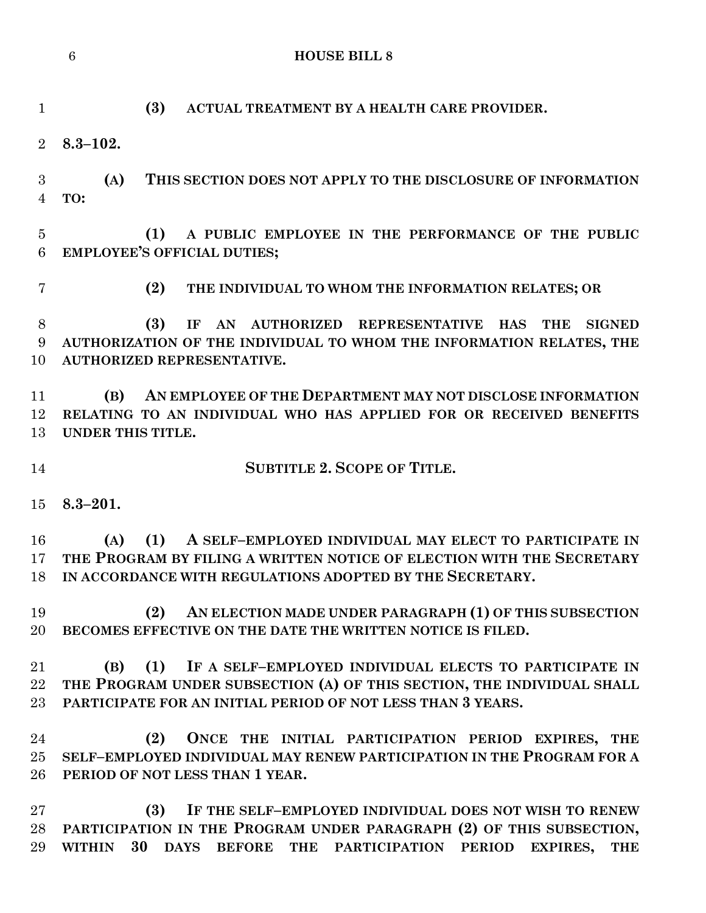|                     | 6<br><b>HOUSE BILL 8</b>                                                                                                           |
|---------------------|------------------------------------------------------------------------------------------------------------------------------------|
| $\mathbf{1}$        | (3)<br>ACTUAL TREATMENT BY A HEALTH CARE PROVIDER.                                                                                 |
| $\overline{2}$      | $8.3 - 102.$                                                                                                                       |
| 3<br>$\overline{4}$ | THIS SECTION DOES NOT APPLY TO THE DISCLOSURE OF INFORMATION<br>(A)<br>TO:                                                         |
|                     |                                                                                                                                    |
| $\overline{5}$<br>6 | A PUBLIC EMPLOYEE IN THE PERFORMANCE OF THE PUBLIC<br>(1)<br><b>EMPLOYEE'S OFFICIAL DUTIES;</b>                                    |
| $\overline{7}$      | (2)<br>THE INDIVIDUAL TO WHOM THE INFORMATION RELATES; OR                                                                          |
| 8                   | (3)<br>AN AUTHORIZED REPRESENTATIVE<br>IF<br><b>HAS</b><br><b>THE</b><br><b>SIGNED</b>                                             |
| 9                   | AUTHORIZATION OF THE INDIVIDUAL TO WHOM THE INFORMATION RELATES, THE                                                               |
| 10                  | <b>AUTHORIZED REPRESENTATIVE.</b>                                                                                                  |
| 11                  | AN EMPLOYEE OF THE DEPARTMENT MAY NOT DISCLOSE INFORMATION<br>(B)                                                                  |
| 12                  | RELATING TO AN INDIVIDUAL WHO HAS APPLIED FOR OR RECEIVED BENEFITS                                                                 |
| 13                  | UNDER THIS TITLE.                                                                                                                  |
| 14                  | <b>SUBTITLE 2. SCOPE OF TITLE.</b>                                                                                                 |
|                     |                                                                                                                                    |
| 15                  | $8.3 - 201.$                                                                                                                       |
| 16                  | A SELF-EMPLOYED INDIVIDUAL MAY ELECT TO PARTICIPATE IN<br>(1)<br>(A)                                                               |
| 17                  | THE PROGRAM BY FILING A WRITTEN NOTICE OF ELECTION WITH THE SECRETARY                                                              |
| 18                  | IN ACCORDANCE WITH REGULATIONS ADOPTED BY THE SECRETARY.                                                                           |
|                     |                                                                                                                                    |
| 19                  | AN ELECTION MADE UNDER PARAGRAPH (1) OF THIS SUBSECTION<br>(2)<br>BECOMES EFFECTIVE ON THE DATE THE WRITTEN NOTICE IS FILED.       |
| 20                  |                                                                                                                                    |
| 21                  | (1) IF A SELF-EMPLOYED INDIVIDUAL ELECTS TO PARTICIPATE IN<br>(B)                                                                  |
| 22                  | THE PROGRAM UNDER SUBSECTION (A) OF THIS SECTION, THE INDIVIDUAL SHALL                                                             |
| 23                  | PARTICIPATE FOR AN INITIAL PERIOD OF NOT LESS THAN 3 YEARS.                                                                        |
|                     |                                                                                                                                    |
| 24<br>25            | (2)<br>ONCE THE INITIAL PARTICIPATION PERIOD EXPIRES, THE<br>SELF-EMPLOYED INDIVIDUAL MAY RENEW PARTICIPATION IN THE PROGRAM FOR A |
| 26                  | PERIOD OF NOT LESS THAN 1 YEAR.                                                                                                    |
|                     |                                                                                                                                    |
| 27<br>${\bf 28}$    | (3) IF THE SELF-EMPLOYED INDIVIDUAL DOES NOT WISH TO RENEW<br>PARTICIPATION IN THE PROGRAM UNDER PARAGRAPH (2) OF THIS SUBSECTION, |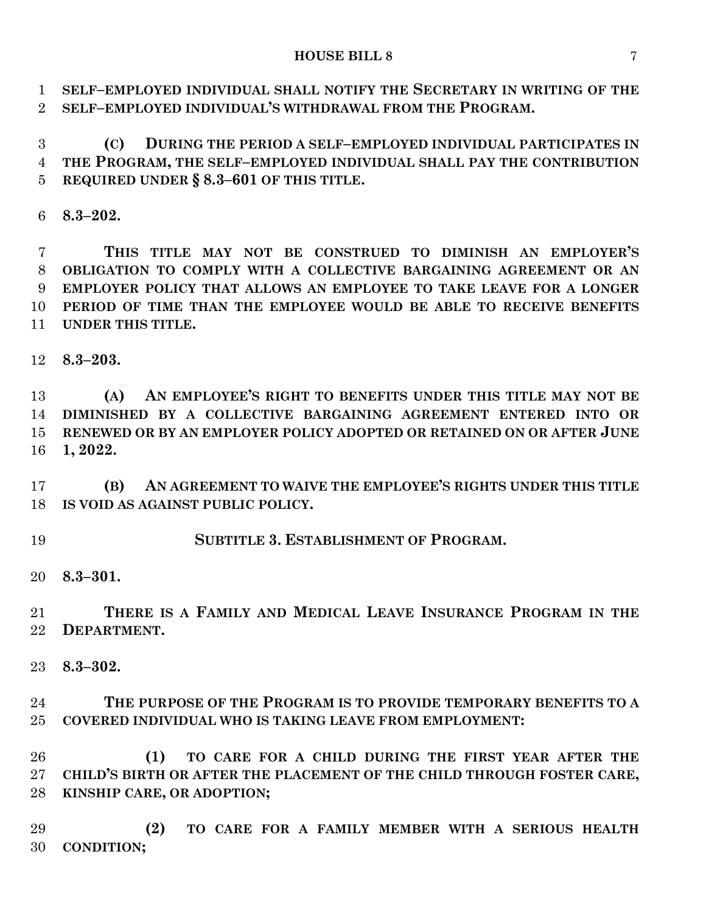**SELF–EMPLOYED INDIVIDUAL SHALL NOTIFY THE SECRETARY IN WRITING OF THE SELF–EMPLOYED INDIVIDUAL'S WITHDRAWAL FROM THE PROGRAM.**

 **(C) DURING THE PERIOD A SELF–EMPLOYED INDIVIDUAL PARTICIPATES IN THE PROGRAM, THE SELF–EMPLOYED INDIVIDUAL SHALL PAY THE CONTRIBUTION REQUIRED UNDER § 8.3–601 OF THIS TITLE.**

**8.3–202.**

 **THIS TITLE MAY NOT BE CONSTRUED TO DIMINISH AN EMPLOYER'S OBLIGATION TO COMPLY WITH A COLLECTIVE BARGAINING AGREEMENT OR AN EMPLOYER POLICY THAT ALLOWS AN EMPLOYEE TO TAKE LEAVE FOR A LONGER PERIOD OF TIME THAN THE EMPLOYEE WOULD BE ABLE TO RECEIVE BENEFITS UNDER THIS TITLE.**

**8.3–203.**

 **(A) AN EMPLOYEE'S RIGHT TO BENEFITS UNDER THIS TITLE MAY NOT BE DIMINISHED BY A COLLECTIVE BARGAINING AGREEMENT ENTERED INTO OR RENEWED OR BY AN EMPLOYER POLICY ADOPTED OR RETAINED ON OR AFTER JUNE 1, 2022.**

 **(B) AN AGREEMENT TO WAIVE THE EMPLOYEE'S RIGHTS UNDER THIS TITLE IS VOID AS AGAINST PUBLIC POLICY.**

**SUBTITLE 3. ESTABLISHMENT OF PROGRAM.**

**8.3–301.**

 **THERE IS A FAMILY AND MEDICAL LEAVE INSURANCE PROGRAM IN THE DEPARTMENT.**

**8.3–302.**

 **THE PURPOSE OF THE PROGRAM IS TO PROVIDE TEMPORARY BENEFITS TO A COVERED INDIVIDUAL WHO IS TAKING LEAVE FROM EMPLOYMENT:**

 **(1) TO CARE FOR A CHILD DURING THE FIRST YEAR AFTER THE CHILD'S BIRTH OR AFTER THE PLACEMENT OF THE CHILD THROUGH FOSTER CARE, KINSHIP CARE, OR ADOPTION;**

 **(2) TO CARE FOR A FAMILY MEMBER WITH A SERIOUS HEALTH CONDITION;**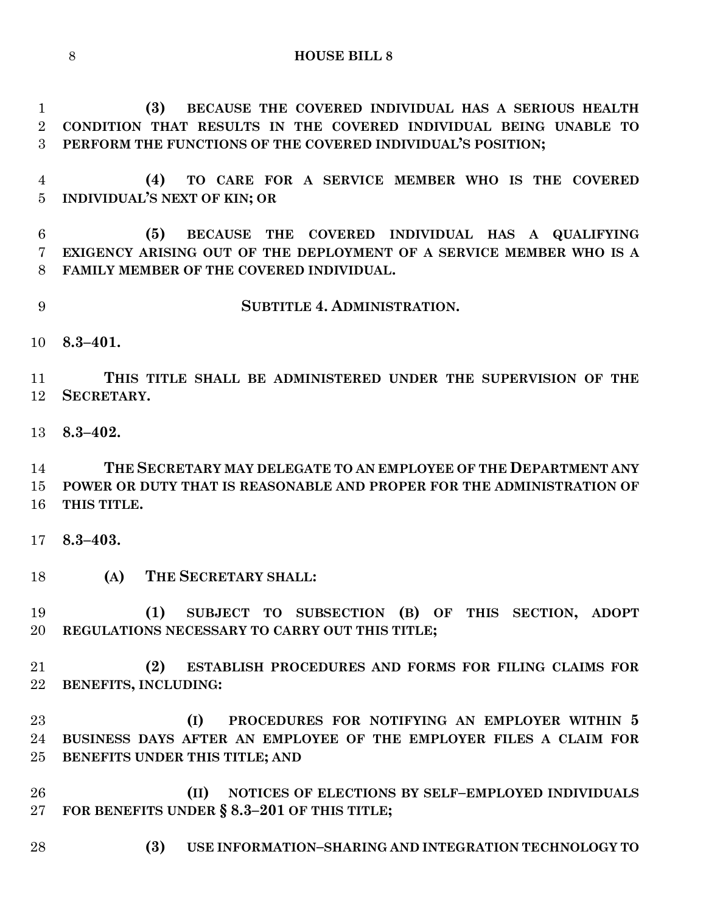**(3) BECAUSE THE COVERED INDIVIDUAL HAS A SERIOUS HEALTH CONDITION THAT RESULTS IN THE COVERED INDIVIDUAL BEING UNABLE TO PERFORM THE FUNCTIONS OF THE COVERED INDIVIDUAL'S POSITION; (4) TO CARE FOR A SERVICE MEMBER WHO IS THE COVERED INDIVIDUAL'S NEXT OF KIN; OR**

 **(5) BECAUSE THE COVERED INDIVIDUAL HAS A QUALIFYING EXIGENCY ARISING OUT OF THE DEPLOYMENT OF A SERVICE MEMBER WHO IS A FAMILY MEMBER OF THE COVERED INDIVIDUAL.**

- **SUBTITLE 4. ADMINISTRATION.**
- **8.3–401.**

 **THIS TITLE SHALL BE ADMINISTERED UNDER THE SUPERVISION OF THE SECRETARY.**

**8.3–402.**

 **THE SECRETARY MAY DELEGATE TO AN EMPLOYEE OF THE DEPARTMENT ANY POWER OR DUTY THAT IS REASONABLE AND PROPER FOR THE ADMINISTRATION OF THIS TITLE.**

**8.3–403.**

**(A) THE SECRETARY SHALL:**

 **(1) SUBJECT TO SUBSECTION (B) OF THIS SECTION, ADOPT REGULATIONS NECESSARY TO CARRY OUT THIS TITLE;**

 **(2) ESTABLISH PROCEDURES AND FORMS FOR FILING CLAIMS FOR BENEFITS, INCLUDING:**

 **(I) PROCEDURES FOR NOTIFYING AN EMPLOYER WITHIN 5 BUSINESS DAYS AFTER AN EMPLOYEE OF THE EMPLOYER FILES A CLAIM FOR BENEFITS UNDER THIS TITLE; AND**

 **(II) NOTICES OF ELECTIONS BY SELF–EMPLOYED INDIVIDUALS FOR BENEFITS UNDER § 8.3–201 OF THIS TITLE;**

**(3) USE INFORMATION–SHARING AND INTEGRATION TECHNOLOGY TO** 

#### **HOUSE BILL 8**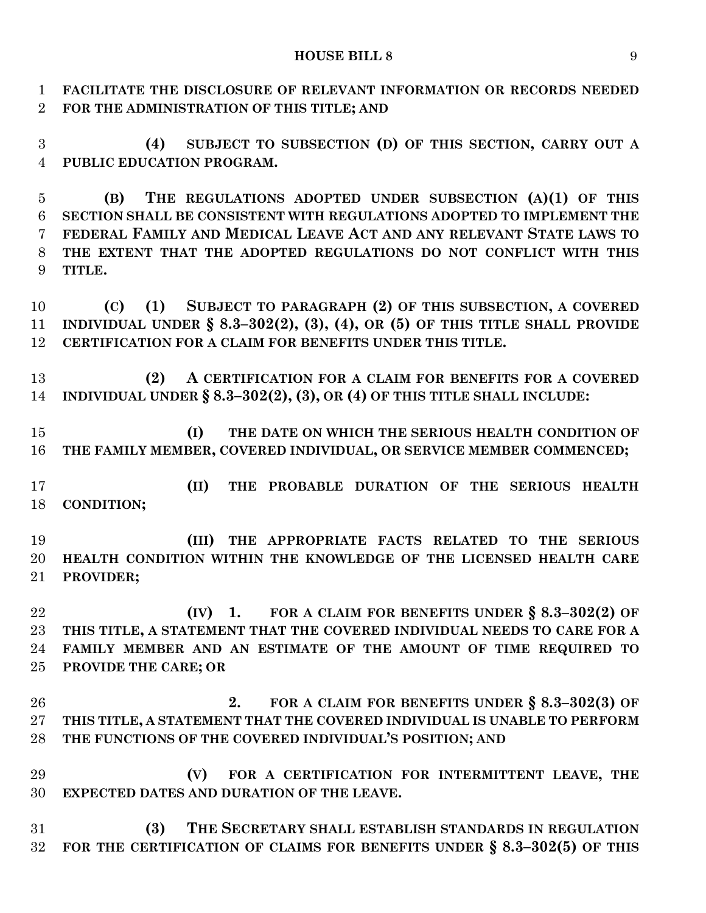**FACILITATE THE DISCLOSURE OF RELEVANT INFORMATION OR RECORDS NEEDED FOR THE ADMINISTRATION OF THIS TITLE; AND**

 **(4) SUBJECT TO SUBSECTION (D) OF THIS SECTION, CARRY OUT A PUBLIC EDUCATION PROGRAM.**

 **(B) THE REGULATIONS ADOPTED UNDER SUBSECTION (A)(1) OF THIS SECTION SHALL BE CONSISTENT WITH REGULATIONS ADOPTED TO IMPLEMENT THE FEDERAL FAMILY AND MEDICAL LEAVE ACT AND ANY RELEVANT STATE LAWS TO THE EXTENT THAT THE ADOPTED REGULATIONS DO NOT CONFLICT WITH THIS TITLE.**

 **(C) (1) SUBJECT TO PARAGRAPH (2) OF THIS SUBSECTION, A COVERED INDIVIDUAL UNDER § 8.3–302(2), (3), (4), OR (5) OF THIS TITLE SHALL PROVIDE CERTIFICATION FOR A CLAIM FOR BENEFITS UNDER THIS TITLE.**

 **(2) A CERTIFICATION FOR A CLAIM FOR BENEFITS FOR A COVERED INDIVIDUAL UNDER § 8.3–302(2), (3), OR (4) OF THIS TITLE SHALL INCLUDE:**

 **(I) THE DATE ON WHICH THE SERIOUS HEALTH CONDITION OF THE FAMILY MEMBER, COVERED INDIVIDUAL, OR SERVICE MEMBER COMMENCED;**

 **(II) THE PROBABLE DURATION OF THE SERIOUS HEALTH CONDITION;**

 **(III) THE APPROPRIATE FACTS RELATED TO THE SERIOUS HEALTH CONDITION WITHIN THE KNOWLEDGE OF THE LICENSED HEALTH CARE PROVIDER;**

 **(IV) 1. FOR A CLAIM FOR BENEFITS UNDER § 8.3–302(2) OF THIS TITLE, A STATEMENT THAT THE COVERED INDIVIDUAL NEEDS TO CARE FOR A FAMILY MEMBER AND AN ESTIMATE OF THE AMOUNT OF TIME REQUIRED TO PROVIDE THE CARE; OR**

 **2. FOR A CLAIM FOR BENEFITS UNDER § 8.3–302(3) OF THIS TITLE, A STATEMENT THAT THE COVERED INDIVIDUAL IS UNABLE TO PERFORM THE FUNCTIONS OF THE COVERED INDIVIDUAL'S POSITION; AND**

 **(V) FOR A CERTIFICATION FOR INTERMITTENT LEAVE, THE EXPECTED DATES AND DURATION OF THE LEAVE.**

 **(3) THE SECRETARY SHALL ESTABLISH STANDARDS IN REGULATION FOR THE CERTIFICATION OF CLAIMS FOR BENEFITS UNDER § 8.3–302(5) OF THIS**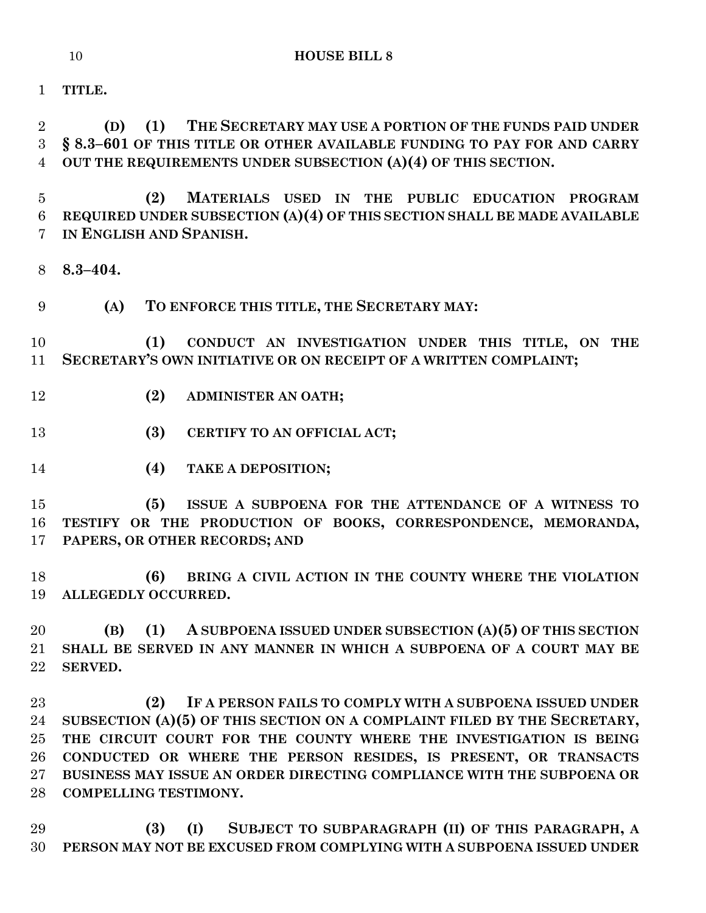**TITLE.**

 **(D) (1) THE SECRETARY MAY USE A PORTION OF THE FUNDS PAID UNDER § 8.3–601 OF THIS TITLE OR OTHER AVAILABLE FUNDING TO PAY FOR AND CARRY OUT THE REQUIREMENTS UNDER SUBSECTION (A)(4) OF THIS SECTION.**

 **(2) MATERIALS USED IN THE PUBLIC EDUCATION PROGRAM REQUIRED UNDER SUBSECTION (A)(4) OF THIS SECTION SHALL BE MADE AVAILABLE IN ENGLISH AND SPANISH.**

**8.3–404.**

**(A) TO ENFORCE THIS TITLE, THE SECRETARY MAY:**

 **(1) CONDUCT AN INVESTIGATION UNDER THIS TITLE, ON THE SECRETARY'S OWN INITIATIVE OR ON RECEIPT OF A WRITTEN COMPLAINT;**

- **(2) ADMINISTER AN OATH;**
- **(3) CERTIFY TO AN OFFICIAL ACT;**
- **(4) TAKE A DEPOSITION;**

 **(5) ISSUE A SUBPOENA FOR THE ATTENDANCE OF A WITNESS TO TESTIFY OR THE PRODUCTION OF BOOKS, CORRESPONDENCE, MEMORANDA, PAPERS, OR OTHER RECORDS; AND**

 **(6) BRING A CIVIL ACTION IN THE COUNTY WHERE THE VIOLATION ALLEGEDLY OCCURRED.**

 **(B) (1) A SUBPOENA ISSUED UNDER SUBSECTION (A)(5) OF THIS SECTION SHALL BE SERVED IN ANY MANNER IN WHICH A SUBPOENA OF A COURT MAY BE SERVED.**

 **(2) IF A PERSON FAILS TO COMPLY WITH A SUBPOENA ISSUED UNDER SUBSECTION (A)(5) OF THIS SECTION ON A COMPLAINT FILED BY THE SECRETARY, THE CIRCUIT COURT FOR THE COUNTY WHERE THE INVESTIGATION IS BEING CONDUCTED OR WHERE THE PERSON RESIDES, IS PRESENT, OR TRANSACTS BUSINESS MAY ISSUE AN ORDER DIRECTING COMPLIANCE WITH THE SUBPOENA OR COMPELLING TESTIMONY.**

 **(3) (I) SUBJECT TO SUBPARAGRAPH (II) OF THIS PARAGRAPH, A PERSON MAY NOT BE EXCUSED FROM COMPLYING WITH A SUBPOENA ISSUED UNDER**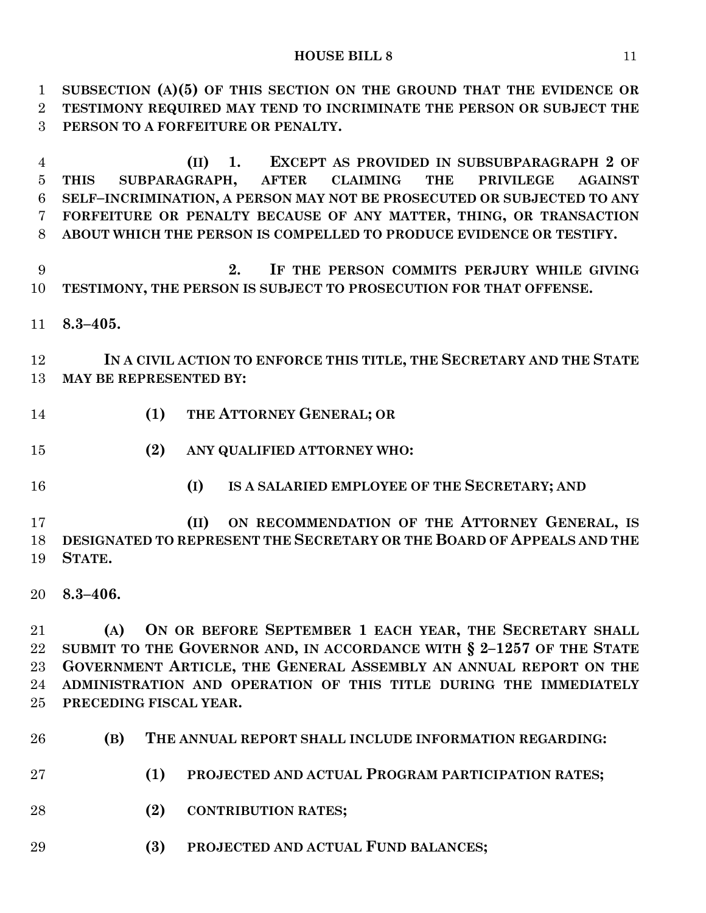**SUBSECTION (A)(5) OF THIS SECTION ON THE GROUND THAT THE EVIDENCE OR TESTIMONY REQUIRED MAY TEND TO INCRIMINATE THE PERSON OR SUBJECT THE PERSON TO A FORFEITURE OR PENALTY.**

 **(II) 1. EXCEPT AS PROVIDED IN SUBSUBPARAGRAPH 2 OF THIS SUBPARAGRAPH, AFTER CLAIMING THE PRIVILEGE AGAINST SELF–INCRIMINATION, A PERSON MAY NOT BE PROSECUTED OR SUBJECTED TO ANY FORFEITURE OR PENALTY BECAUSE OF ANY MATTER, THING, OR TRANSACTION ABOUT WHICH THE PERSON IS COMPELLED TO PRODUCE EVIDENCE OR TESTIFY.**

 **2. IF THE PERSON COMMITS PERJURY WHILE GIVING TESTIMONY, THE PERSON IS SUBJECT TO PROSECUTION FOR THAT OFFENSE.**

**8.3–405.**

 **IN A CIVIL ACTION TO ENFORCE THIS TITLE, THE SECRETARY AND THE STATE MAY BE REPRESENTED BY:**

- **(1) THE ATTORNEY GENERAL; OR**
- **(2) ANY QUALIFIED ATTORNEY WHO:**
- 
- **(I) IS A SALARIED EMPLOYEE OF THE SECRETARY; AND**

 **(II) ON RECOMMENDATION OF THE ATTORNEY GENERAL, IS DESIGNATED TO REPRESENT THE SECRETARY OR THE BOARD OF APPEALS AND THE STATE.**

**8.3–406.**

 **(A) ON OR BEFORE SEPTEMBER 1 EACH YEAR, THE SECRETARY SHALL SUBMIT TO THE GOVERNOR AND, IN ACCORDANCE WITH § 2–1257 OF THE STATE GOVERNMENT ARTICLE, THE GENERAL ASSEMBLY AN ANNUAL REPORT ON THE ADMINISTRATION AND OPERATION OF THIS TITLE DURING THE IMMEDIATELY PRECEDING FISCAL YEAR.**

- **(B) THE ANNUAL REPORT SHALL INCLUDE INFORMATION REGARDING:**
- **(1) PROJECTED AND ACTUAL PROGRAM PARTICIPATION RATES;**
- **(2) CONTRIBUTION RATES;**
- **(3) PROJECTED AND ACTUAL FUND BALANCES;**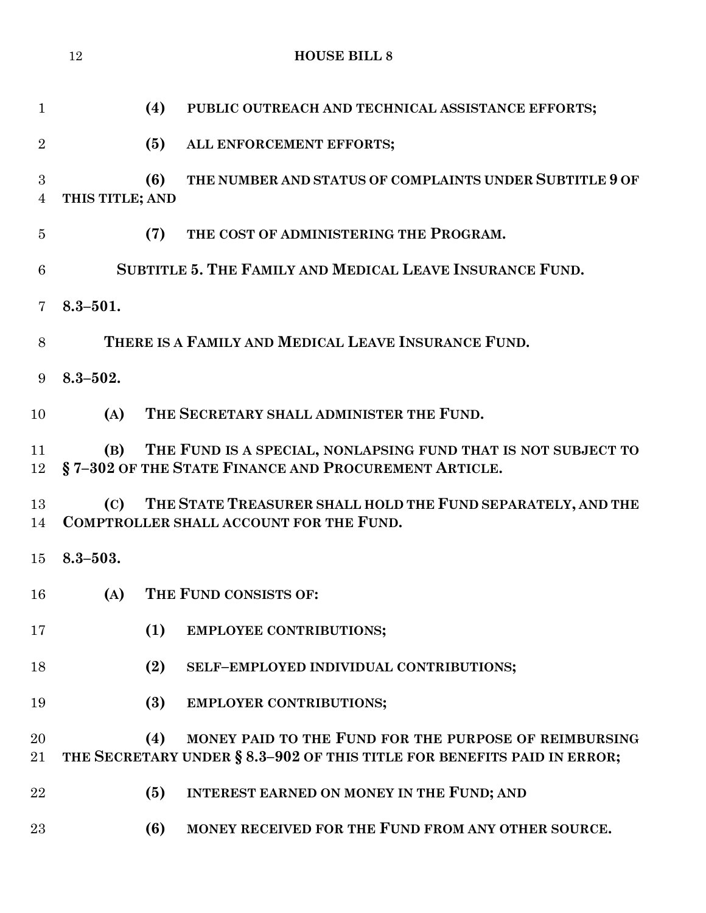|                | 12              | <b>HOUSE BILL 8</b>                                                                                                                     |
|----------------|-----------------|-----------------------------------------------------------------------------------------------------------------------------------------|
| $\mathbf{1}$   |                 | (4)<br>PUBLIC OUTREACH AND TECHNICAL ASSISTANCE EFFORTS;                                                                                |
| $\overline{2}$ |                 | (5)<br>ALL ENFORCEMENT EFFORTS;                                                                                                         |
| 3<br>4         | THIS TITLE; AND | THE NUMBER AND STATUS OF COMPLAINTS UNDER SUBTITLE 9 OF<br>(6)                                                                          |
| $\overline{5}$ |                 | THE COST OF ADMINISTERING THE PROGRAM.<br>(7)                                                                                           |
| 6              |                 | SUBTITLE 5. THE FAMILY AND MEDICAL LEAVE INSURANCE FUND.                                                                                |
| 7              | $8.3 - 501.$    |                                                                                                                                         |
| 8              |                 | THERE IS A FAMILY AND MEDICAL LEAVE INSURANCE FUND.                                                                                     |
| 9              | $8.3 - 502.$    |                                                                                                                                         |
| 10             | (A)             | THE SECRETARY SHALL ADMINISTER THE FUND.                                                                                                |
| 11<br>12       | (B)             | THE FUND IS A SPECIAL, NONLAPSING FUND THAT IS NOT SUBJECT TO<br>§7-302 OF THE STATE FINANCE AND PROCUREMENT ARTICLE.                   |
| 13<br>14       | (C)             | THE STATE TREASURER SHALL HOLD THE FUND SEPARATELY, AND THE<br><b>COMPTROLLER SHALL ACCOUNT FOR THE FUND.</b>                           |
| 15             | $8.3 - 503.$    |                                                                                                                                         |
| 16             | (A)             | THE FUND CONSISTS OF:                                                                                                                   |
| 17             |                 | (1)<br><b>EMPLOYEE CONTRIBUTIONS;</b>                                                                                                   |
| 18             |                 | (2)<br>SELF-EMPLOYED INDIVIDUAL CONTRIBUTIONS;                                                                                          |
| 19             |                 | (3)<br>EMPLOYER CONTRIBUTIONS;                                                                                                          |
| 20<br>21       |                 | MONEY PAID TO THE FUND FOR THE PURPOSE OF REIMBURSING<br>(4)<br>THE SECRETARY UNDER § 8.3-902 OF THIS TITLE FOR BENEFITS PAID IN ERROR; |
| 22             |                 | (5)<br>INTEREST EARNED ON MONEY IN THE FUND; AND                                                                                        |
| 23             |                 | MONEY RECEIVED FOR THE FUND FROM ANY OTHER SOURCE.<br>(6)                                                                               |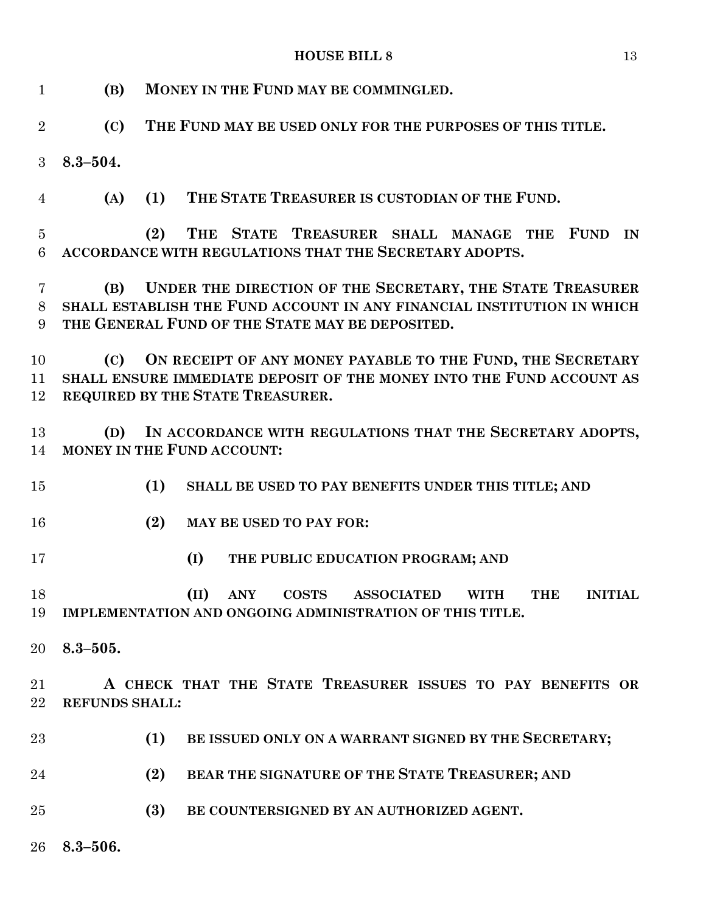| $\mathbf{1}$        | (B)                   | MONEY IN THE FUND MAY BE COMMINGLED.                                                                                                                                                   |
|---------------------|-----------------------|----------------------------------------------------------------------------------------------------------------------------------------------------------------------------------------|
| $\overline{2}$      | (C)                   | THE FUND MAY BE USED ONLY FOR THE PURPOSES OF THIS TITLE.                                                                                                                              |
| 3                   | $8.3 - 504.$          |                                                                                                                                                                                        |
| $\overline{4}$      | (A)                   | THE STATE TREASURER IS CUSTODIAN OF THE FUND.<br>(1)                                                                                                                                   |
| $\overline{5}$<br>6 |                       | THE STATE TREASURER SHALL MANAGE THE<br>(2)<br><b>FUND</b><br>IN<br>ACCORDANCE WITH REGULATIONS THAT THE SECRETARY ADOPTS.                                                             |
| 7<br>8<br>9         | (B)                   | UNDER THE DIRECTION OF THE SECRETARY, THE STATE TREASURER<br>SHALL ESTABLISH THE FUND ACCOUNT IN ANY FINANCIAL INSTITUTION IN WHICH<br>THE GENERAL FUND OF THE STATE MAY BE DEPOSITED. |
| 10<br>11<br>12      | (C)                   | ON RECEIPT OF ANY MONEY PAYABLE TO THE FUND, THE SECRETARY<br>SHALL ENSURE IMMEDIATE DEPOSIT OF THE MONEY INTO THE FUND ACCOUNT AS<br>REQUIRED BY THE STATE TREASURER.                 |
| 13<br>14            | (D)                   | IN ACCORDANCE WITH REGULATIONS THAT THE SECRETARY ADOPTS,<br>MONEY IN THE FUND ACCOUNT:                                                                                                |
| 15                  |                       | (1)<br>SHALL BE USED TO PAY BENEFITS UNDER THIS TITLE; AND                                                                                                                             |
| 16                  |                       | (2)<br>MAY BE USED TO PAY FOR:                                                                                                                                                         |
| 17                  |                       | (I)<br>THE PUBLIC EDUCATION PROGRAM; AND                                                                                                                                               |
| 18<br>19            |                       | (II) ANY COSTS ASSOCIATED WITH THE INITIAL<br>IMPLEMENTATION AND ONGOING ADMINISTRATION OF THIS TITLE.                                                                                 |
| 20                  | $8.3 - 505.$          |                                                                                                                                                                                        |
| 21<br>22            | <b>REFUNDS SHALL:</b> | A CHECK THAT THE STATE TREASURER ISSUES TO PAY BENEFITS OR                                                                                                                             |
| 23                  |                       | (1)<br>BE ISSUED ONLY ON A WARRANT SIGNED BY THE SECRETARY;                                                                                                                            |
| 24                  |                       | (2)<br>BEAR THE SIGNATURE OF THE STATE TREASURER; AND                                                                                                                                  |
| 25                  |                       | (3)<br>BE COUNTERSIGNED BY AN AUTHORIZED AGENT.                                                                                                                                        |
| 26                  | $8.3 - 506.$          |                                                                                                                                                                                        |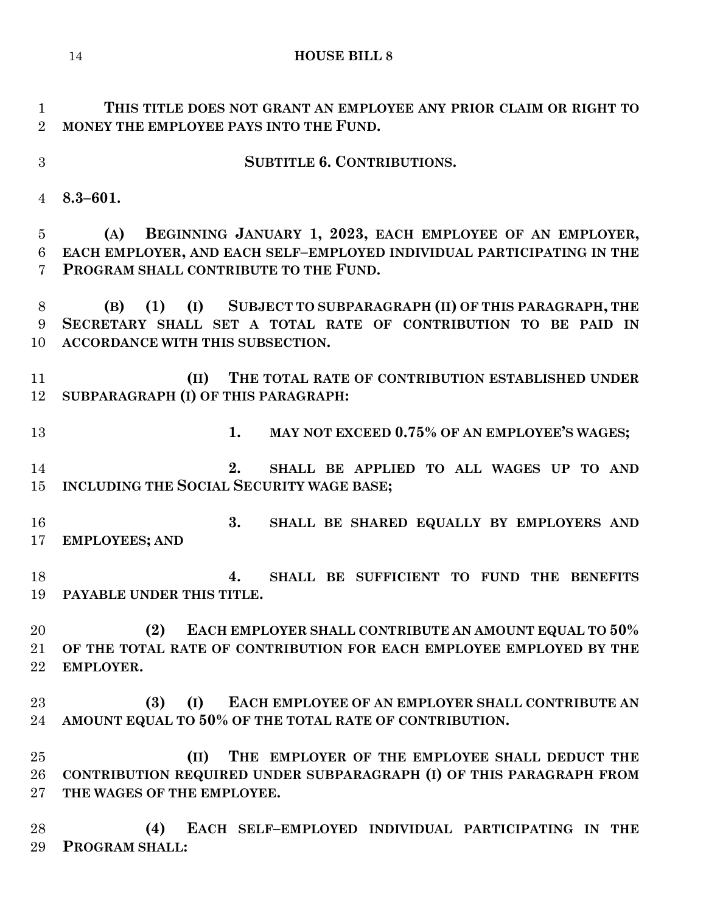**SUBTITLE 6. CONTRIBUTIONS. (II) THE EMPLOYER OF THE EMPLOYEE SHALL DEDUCT THE CONTRIBUTION REQUIRED UNDER SUBPARAGRAPH (I) OF THIS PARAGRAPH FROM THE WAGES OF THE EMPLOYEE.**

 **(4) EACH SELF–EMPLOYED INDIVIDUAL PARTICIPATING IN THE PROGRAM SHALL:**

- **THIS TITLE DOES NOT GRANT AN EMPLOYEE ANY PRIOR CLAIM OR RIGHT TO MONEY THE EMPLOYEE PAYS INTO THE FUND.**
- 
- **8.3–601.**

 **(A) BEGINNING JANUARY 1, 2023, EACH EMPLOYEE OF AN EMPLOYER, EACH EMPLOYER, AND EACH SELF–EMPLOYED INDIVIDUAL PARTICIPATING IN THE PROGRAM SHALL CONTRIBUTE TO THE FUND.**

 **(B) (1) (I) SUBJECT TO SUBPARAGRAPH (II) OF THIS PARAGRAPH, THE SECRETARY SHALL SET A TOTAL RATE OF CONTRIBUTION TO BE PAID IN ACCORDANCE WITH THIS SUBSECTION.**

 **(II) THE TOTAL RATE OF CONTRIBUTION ESTABLISHED UNDER SUBPARAGRAPH (I) OF THIS PARAGRAPH:**

- **1. MAY NOT EXCEED 0.75% OF AN EMPLOYEE'S WAGES;**
- **2. SHALL BE APPLIED TO ALL WAGES UP TO AND INCLUDING THE SOCIAL SECURITY WAGE BASE;**
- **3. SHALL BE SHARED EQUALLY BY EMPLOYERS AND EMPLOYEES; AND**
- **4. SHALL BE SUFFICIENT TO FUND THE BENEFITS PAYABLE UNDER THIS TITLE.**

 **(2) EACH EMPLOYER SHALL CONTRIBUTE AN AMOUNT EQUAL TO 50% OF THE TOTAL RATE OF CONTRIBUTION FOR EACH EMPLOYEE EMPLOYED BY THE EMPLOYER.**

 **(3) (I) EACH EMPLOYEE OF AN EMPLOYER SHALL CONTRIBUTE AN AMOUNT EQUAL TO 50% OF THE TOTAL RATE OF CONTRIBUTION.**

**HOUSE BILL 8**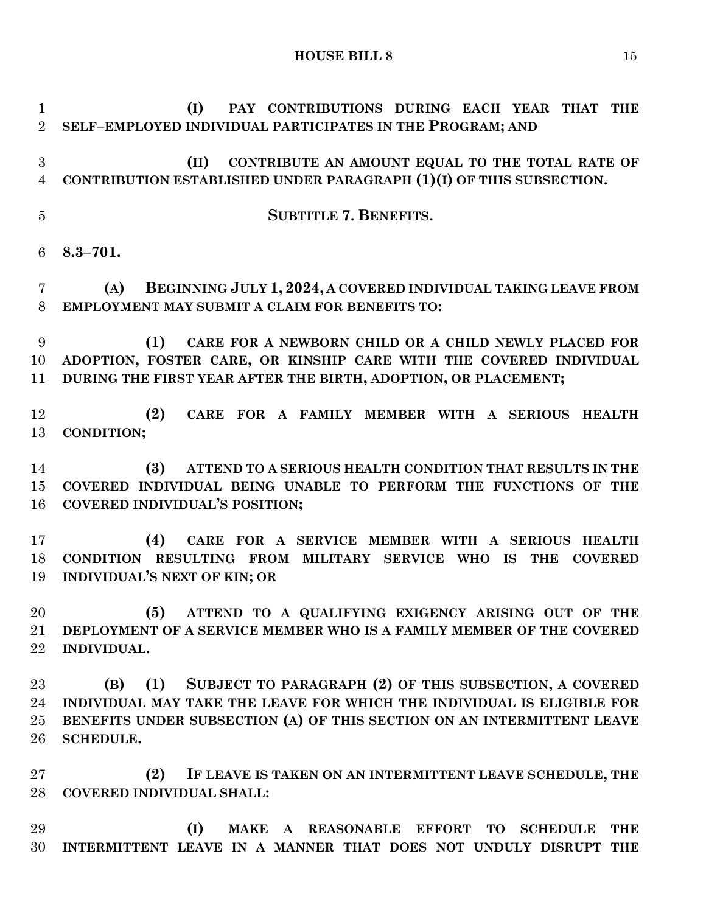**(I) PAY CONTRIBUTIONS DURING EACH YEAR THAT THE SELF–EMPLOYED INDIVIDUAL PARTICIPATES IN THE PROGRAM; AND (II) CONTRIBUTE AN AMOUNT EQUAL TO THE TOTAL RATE OF CONTRIBUTION ESTABLISHED UNDER PARAGRAPH (1)(I) OF THIS SUBSECTION. SUBTITLE 7. BENEFITS. 8.3–701. (A) BEGINNING JULY 1, 2024, A COVERED INDIVIDUAL TAKING LEAVE FROM EMPLOYMENT MAY SUBMIT A CLAIM FOR BENEFITS TO: (1) CARE FOR A NEWBORN CHILD OR A CHILD NEWLY PLACED FOR ADOPTION, FOSTER CARE, OR KINSHIP CARE WITH THE COVERED INDIVIDUAL DURING THE FIRST YEAR AFTER THE BIRTH, ADOPTION, OR PLACEMENT; (2) CARE FOR A FAMILY MEMBER WITH A SERIOUS HEALTH CONDITION; (3) ATTEND TO A SERIOUS HEALTH CONDITION THAT RESULTS IN THE COVERED INDIVIDUAL BEING UNABLE TO PERFORM THE FUNCTIONS OF THE COVERED INDIVIDUAL'S POSITION; (4) CARE FOR A SERVICE MEMBER WITH A SERIOUS HEALTH CONDITION RESULTING FROM MILITARY SERVICE WHO IS THE COVERED INDIVIDUAL'S NEXT OF KIN; OR (5) ATTEND TO A QUALIFYING EXIGENCY ARISING OUT OF THE DEPLOYMENT OF A SERVICE MEMBER WHO IS A FAMILY MEMBER OF THE COVERED INDIVIDUAL. (B) (1) SUBJECT TO PARAGRAPH (2) OF THIS SUBSECTION, A COVERED INDIVIDUAL MAY TAKE THE LEAVE FOR WHICH THE INDIVIDUAL IS ELIGIBLE FOR BENEFITS UNDER SUBSECTION (A) OF THIS SECTION ON AN INTERMITTENT LEAVE SCHEDULE. (2) IF LEAVE IS TAKEN ON AN INTERMITTENT LEAVE SCHEDULE, THE COVERED INDIVIDUAL SHALL: (I) MAKE A REASONABLE EFFORT TO SCHEDULE THE INTERMITTENT LEAVE IN A MANNER THAT DOES NOT UNDULY DISRUPT THE**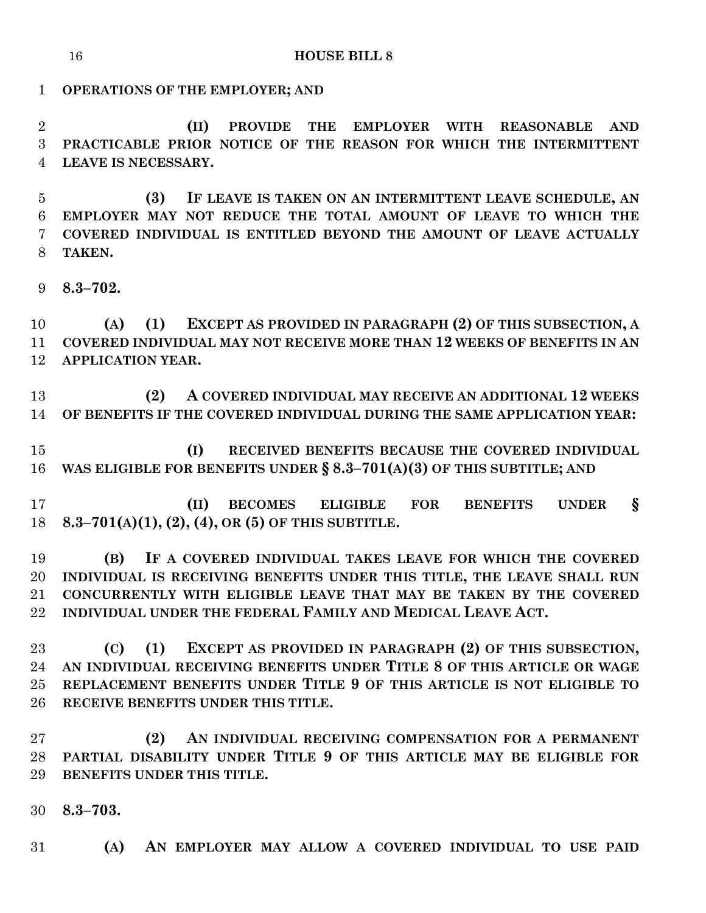# **OPERATIONS OF THE EMPLOYER; AND**

 **(II) PROVIDE THE EMPLOYER WITH REASONABLE AND PRACTICABLE PRIOR NOTICE OF THE REASON FOR WHICH THE INTERMITTENT LEAVE IS NECESSARY.**

 **(3) IF LEAVE IS TAKEN ON AN INTERMITTENT LEAVE SCHEDULE, AN EMPLOYER MAY NOT REDUCE THE TOTAL AMOUNT OF LEAVE TO WHICH THE COVERED INDIVIDUAL IS ENTITLED BEYOND THE AMOUNT OF LEAVE ACTUALLY TAKEN.**

**8.3–702.**

 **(A) (1) EXCEPT AS PROVIDED IN PARAGRAPH (2) OF THIS SUBSECTION, A COVERED INDIVIDUAL MAY NOT RECEIVE MORE THAN 12 WEEKS OF BENEFITS IN AN APPLICATION YEAR.**

 **(2) A COVERED INDIVIDUAL MAY RECEIVE AN ADDITIONAL 12 WEEKS OF BENEFITS IF THE COVERED INDIVIDUAL DURING THE SAME APPLICATION YEAR:**

 **(I) RECEIVED BENEFITS BECAUSE THE COVERED INDIVIDUAL WAS ELIGIBLE FOR BENEFITS UNDER § 8.3–701(A)(3) OF THIS SUBTITLE; AND**

 **(II) BECOMES ELIGIBLE FOR BENEFITS UNDER § 8.3–701(A)(1), (2), (4), OR (5) OF THIS SUBTITLE.**

 **(B) IF A COVERED INDIVIDUAL TAKES LEAVE FOR WHICH THE COVERED INDIVIDUAL IS RECEIVING BENEFITS UNDER THIS TITLE, THE LEAVE SHALL RUN CONCURRENTLY WITH ELIGIBLE LEAVE THAT MAY BE TAKEN BY THE COVERED INDIVIDUAL UNDER THE FEDERAL FAMILY AND MEDICAL LEAVE ACT.**

 **(C) (1) EXCEPT AS PROVIDED IN PARAGRAPH (2) OF THIS SUBSECTION, AN INDIVIDUAL RECEIVING BENEFITS UNDER TITLE 8 OF THIS ARTICLE OR WAGE REPLACEMENT BENEFITS UNDER TITLE 9 OF THIS ARTICLE IS NOT ELIGIBLE TO RECEIVE BENEFITS UNDER THIS TITLE.**

 **(2) AN INDIVIDUAL RECEIVING COMPENSATION FOR A PERMANENT PARTIAL DISABILITY UNDER TITLE 9 OF THIS ARTICLE MAY BE ELIGIBLE FOR BENEFITS UNDER THIS TITLE.**

**8.3–703.**

**(A) AN EMPLOYER MAY ALLOW A COVERED INDIVIDUAL TO USE PAID**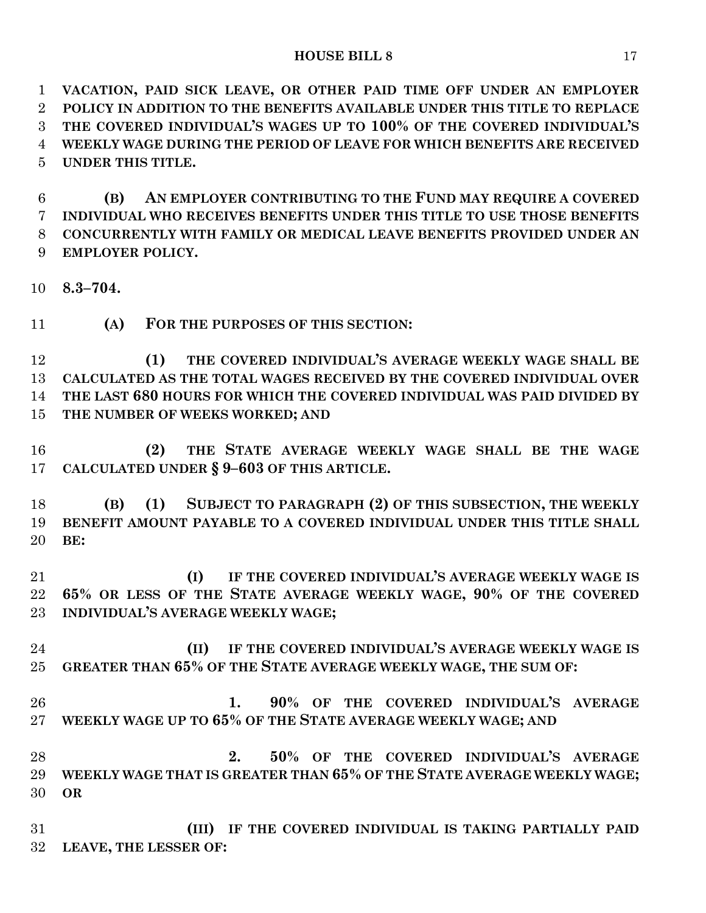**VACATION, PAID SICK LEAVE, OR OTHER PAID TIME OFF UNDER AN EMPLOYER POLICY IN ADDITION TO THE BENEFITS AVAILABLE UNDER THIS TITLE TO REPLACE THE COVERED INDIVIDUAL'S WAGES UP TO 100% OF THE COVERED INDIVIDUAL'S WEEKLY WAGE DURING THE PERIOD OF LEAVE FOR WHICH BENEFITS ARE RECEIVED UNDER THIS TITLE.**

 **(B) AN EMPLOYER CONTRIBUTING TO THE FUND MAY REQUIRE A COVERED INDIVIDUAL WHO RECEIVES BENEFITS UNDER THIS TITLE TO USE THOSE BENEFITS CONCURRENTLY WITH FAMILY OR MEDICAL LEAVE BENEFITS PROVIDED UNDER AN EMPLOYER POLICY.**

**8.3–704.**

**(A) FOR THE PURPOSES OF THIS SECTION:**

 **(1) THE COVERED INDIVIDUAL'S AVERAGE WEEKLY WAGE SHALL BE CALCULATED AS THE TOTAL WAGES RECEIVED BY THE COVERED INDIVIDUAL OVER THE LAST 680 HOURS FOR WHICH THE COVERED INDIVIDUAL WAS PAID DIVIDED BY THE NUMBER OF WEEKS WORKED; AND**

 **(2) THE STATE AVERAGE WEEKLY WAGE SHALL BE THE WAGE CALCULATED UNDER § 9–603 OF THIS ARTICLE.**

 **(B) (1) SUBJECT TO PARAGRAPH (2) OF THIS SUBSECTION, THE WEEKLY BENEFIT AMOUNT PAYABLE TO A COVERED INDIVIDUAL UNDER THIS TITLE SHALL BE:**

 **(I) IF THE COVERED INDIVIDUAL'S AVERAGE WEEKLY WAGE IS 65% OR LESS OF THE STATE AVERAGE WEEKLY WAGE, 90% OF THE COVERED INDIVIDUAL'S AVERAGE WEEKLY WAGE;**

 **(II) IF THE COVERED INDIVIDUAL'S AVERAGE WEEKLY WAGE IS GREATER THAN 65% OF THE STATE AVERAGE WEEKLY WAGE, THE SUM OF:**

 **1. 90% OF THE COVERED INDIVIDUAL'S AVERAGE WEEKLY WAGE UP TO 65% OF THE STATE AVERAGE WEEKLY WAGE; AND**

 **2. 50% OF THE COVERED INDIVIDUAL'S AVERAGE WEEKLY WAGE THAT IS GREATER THAN 65% OF THE STATE AVERAGE WEEKLY WAGE; OR**

 **(III) IF THE COVERED INDIVIDUAL IS TAKING PARTIALLY PAID LEAVE, THE LESSER OF:**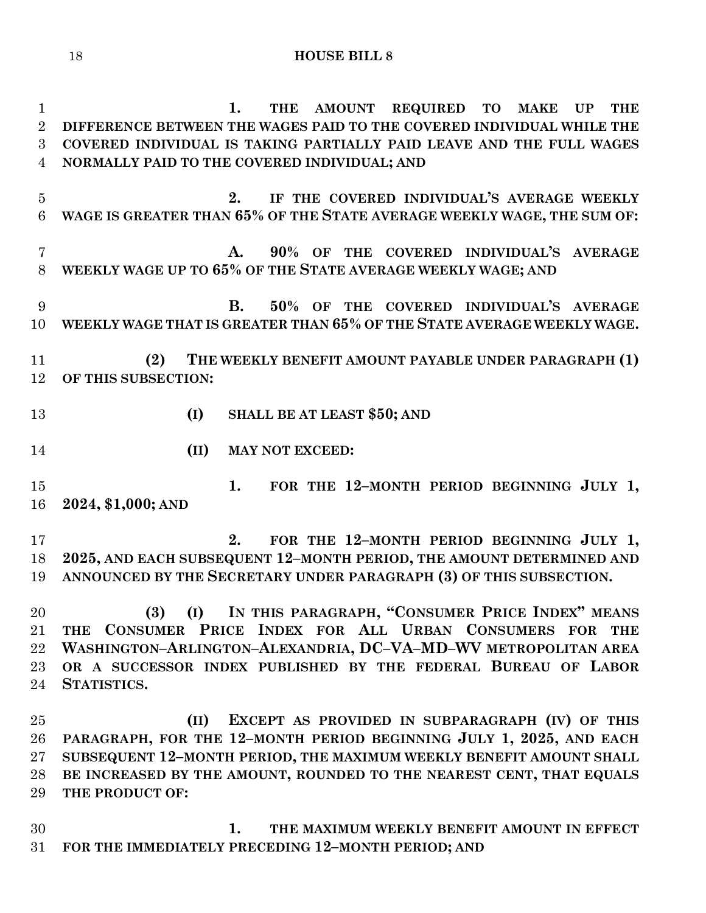**1. THE AMOUNT REQUIRED TO MAKE UP THE DIFFERENCE BETWEEN THE WAGES PAID TO THE COVERED INDIVIDUAL WHILE THE COVERED INDIVIDUAL IS TAKING PARTIALLY PAID LEAVE AND THE FULL WAGES NORMALLY PAID TO THE COVERED INDIVIDUAL; AND 2. IF THE COVERED INDIVIDUAL'S AVERAGE WEEKLY WAGE IS GREATER THAN 65% OF THE STATE AVERAGE WEEKLY WAGE, THE SUM OF: A. 90% OF THE COVERED INDIVIDUAL'S AVERAGE WEEKLY WAGE UP TO 65% OF THE STATE AVERAGE WEEKLY WAGE; AND B. 50% OF THE COVERED INDIVIDUAL'S AVERAGE WEEKLY WAGE THAT IS GREATER THAN 65% OF THE STATE AVERAGE WEEKLY WAGE. (2) THE WEEKLY BENEFIT AMOUNT PAYABLE UNDER PARAGRAPH (1) OF THIS SUBSECTION: (I) SHALL BE AT LEAST \$50; AND (II) MAY NOT EXCEED: 1. FOR THE 12–MONTH PERIOD BEGINNING JULY 1, 2024, \$1,000; AND 2. FOR THE 12–MONTH PERIOD BEGINNING JULY 1, 2025, AND EACH SUBSEQUENT 12–MONTH PERIOD, THE AMOUNT DETERMINED AND ANNOUNCED BY THE SECRETARY UNDER PARAGRAPH (3) OF THIS SUBSECTION. (3) (I) IN THIS PARAGRAPH, "CONSUMER PRICE INDEX" MEANS THE CONSUMER PRICE INDEX FOR ALL URBAN CONSUMERS FOR THE WASHINGTON–ARLINGTON–ALEXANDRIA, DC–VA–MD–WV METROPOLITAN AREA OR A SUCCESSOR INDEX PUBLISHED BY THE FEDERAL BUREAU OF LABOR STATISTICS. (II) EXCEPT AS PROVIDED IN SUBPARAGRAPH (IV) OF THIS PARAGRAPH, FOR THE 12–MONTH PERIOD BEGINNING JULY 1, 2025, AND EACH SUBSEQUENT 12–MONTH PERIOD, THE MAXIMUM WEEKLY BENEFIT AMOUNT SHALL BE INCREASED BY THE AMOUNT, ROUNDED TO THE NEAREST CENT, THAT EQUALS THE PRODUCT OF:**

 **1. THE MAXIMUM WEEKLY BENEFIT AMOUNT IN EFFECT FOR THE IMMEDIATELY PRECEDING 12–MONTH PERIOD; AND**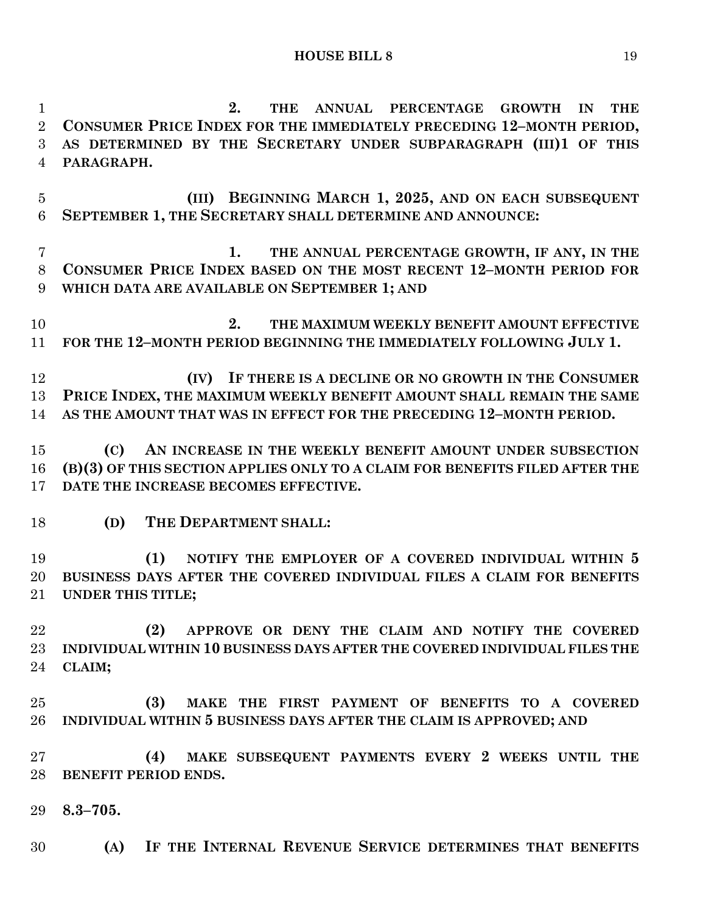**2. THE ANNUAL PERCENTAGE GROWTH IN THE CONSUMER PRICE INDEX FOR THE IMMEDIATELY PRECEDING 12–MONTH PERIOD, AS DETERMINED BY THE SECRETARY UNDER SUBPARAGRAPH (III)1 OF THIS** 

**PARAGRAPH.**

 **(III) BEGINNING MARCH 1, 2025, AND ON EACH SUBSEQUENT SEPTEMBER 1, THE SECRETARY SHALL DETERMINE AND ANNOUNCE: 1. THE ANNUAL PERCENTAGE GROWTH, IF ANY, IN THE CONSUMER PRICE INDEX BASED ON THE MOST RECENT 12–MONTH PERIOD FOR WHICH DATA ARE AVAILABLE ON SEPTEMBER 1; AND 2. THE MAXIMUM WEEKLY BENEFIT AMOUNT EFFECTIVE FOR THE 12–MONTH PERIOD BEGINNING THE IMMEDIATELY FOLLOWING JULY 1. (IV) IF THERE IS A DECLINE OR NO GROWTH IN THE CONSUMER PRICE INDEX, THE MAXIMUM WEEKLY BENEFIT AMOUNT SHALL REMAIN THE SAME AS THE AMOUNT THAT WAS IN EFFECT FOR THE PRECEDING 12–MONTH PERIOD. (C) AN INCREASE IN THE WEEKLY BENEFIT AMOUNT UNDER SUBSECTION (B)(3) OF THIS SECTION APPLIES ONLY TO A CLAIM FOR BENEFITS FILED AFTER THE DATE THE INCREASE BECOMES EFFECTIVE. (D) THE DEPARTMENT SHALL: (1) NOTIFY THE EMPLOYER OF A COVERED INDIVIDUAL WITHIN 5 BUSINESS DAYS AFTER THE COVERED INDIVIDUAL FILES A CLAIM FOR BENEFITS UNDER THIS TITLE; (2) APPROVE OR DENY THE CLAIM AND NOTIFY THE COVERED INDIVIDUAL WITHIN 10 BUSINESS DAYS AFTER THE COVERED INDIVIDUAL FILES THE CLAIM; (3) MAKE THE FIRST PAYMENT OF BENEFITS TO A COVERED INDIVIDUAL WITHIN 5 BUSINESS DAYS AFTER THE CLAIM IS APPROVED; AND (4) MAKE SUBSEQUENT PAYMENTS EVERY 2 WEEKS UNTIL THE BENEFIT PERIOD ENDS. 8.3–705. (A) IF THE INTERNAL REVENUE SERVICE DETERMINES THAT BENEFITS**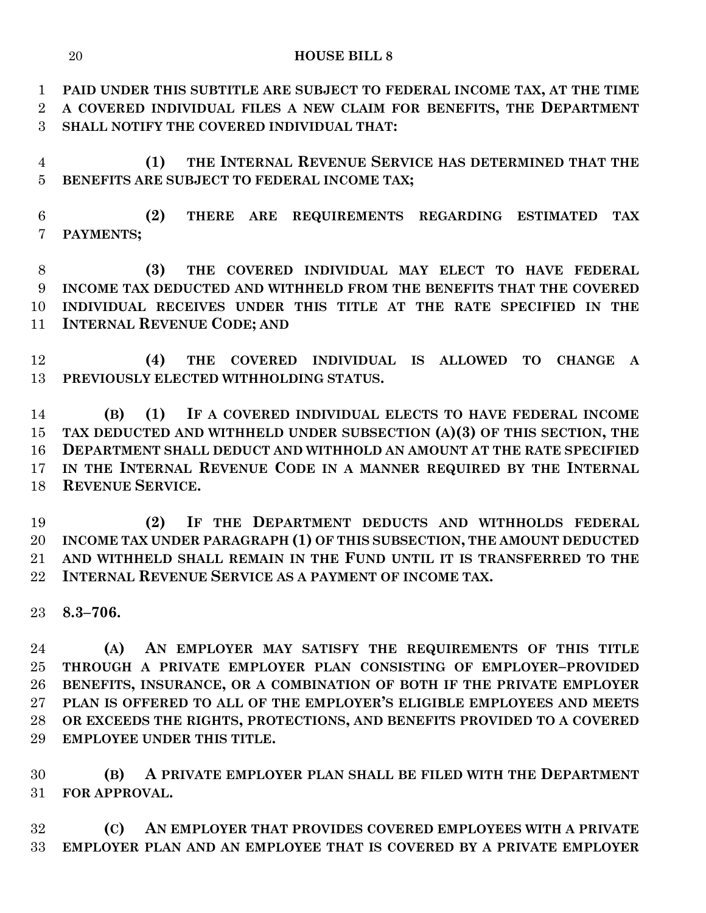**PAID UNDER THIS SUBTITLE ARE SUBJECT TO FEDERAL INCOME TAX, AT THE TIME A COVERED INDIVIDUAL FILES A NEW CLAIM FOR BENEFITS, THE DEPARTMENT SHALL NOTIFY THE COVERED INDIVIDUAL THAT:**

 **(1) THE INTERNAL REVENUE SERVICE HAS DETERMINED THAT THE BENEFITS ARE SUBJECT TO FEDERAL INCOME TAX;**

 **(2) THERE ARE REQUIREMENTS REGARDING ESTIMATED TAX PAYMENTS;**

 **(3) THE COVERED INDIVIDUAL MAY ELECT TO HAVE FEDERAL INCOME TAX DEDUCTED AND WITHHELD FROM THE BENEFITS THAT THE COVERED INDIVIDUAL RECEIVES UNDER THIS TITLE AT THE RATE SPECIFIED IN THE INTERNAL REVENUE CODE; AND**

 **(4) THE COVERED INDIVIDUAL IS ALLOWED TO CHANGE A PREVIOUSLY ELECTED WITHHOLDING STATUS.**

 **(B) (1) IF A COVERED INDIVIDUAL ELECTS TO HAVE FEDERAL INCOME TAX DEDUCTED AND WITHHELD UNDER SUBSECTION (A)(3) OF THIS SECTION, THE DEPARTMENT SHALL DEDUCT AND WITHHOLD AN AMOUNT AT THE RATE SPECIFIED IN THE INTERNAL REVENUE CODE IN A MANNER REQUIRED BY THE INTERNAL REVENUE SERVICE.**

 **(2) IF THE DEPARTMENT DEDUCTS AND WITHHOLDS FEDERAL INCOME TAX UNDER PARAGRAPH (1) OF THIS SUBSECTION, THE AMOUNT DEDUCTED AND WITHHELD SHALL REMAIN IN THE FUND UNTIL IT IS TRANSFERRED TO THE INTERNAL REVENUE SERVICE AS A PAYMENT OF INCOME TAX.**

**8.3–706.**

 **(A) AN EMPLOYER MAY SATISFY THE REQUIREMENTS OF THIS TITLE THROUGH A PRIVATE EMPLOYER PLAN CONSISTING OF EMPLOYER–PROVIDED BENEFITS, INSURANCE, OR A COMBINATION OF BOTH IF THE PRIVATE EMPLOYER PLAN IS OFFERED TO ALL OF THE EMPLOYER'S ELIGIBLE EMPLOYEES AND MEETS OR EXCEEDS THE RIGHTS, PROTECTIONS, AND BENEFITS PROVIDED TO A COVERED EMPLOYEE UNDER THIS TITLE.**

 **(B) A PRIVATE EMPLOYER PLAN SHALL BE FILED WITH THE DEPARTMENT FOR APPROVAL.**

 **(C) AN EMPLOYER THAT PROVIDES COVERED EMPLOYEES WITH A PRIVATE EMPLOYER PLAN AND AN EMPLOYEE THAT IS COVERED BY A PRIVATE EMPLOYER**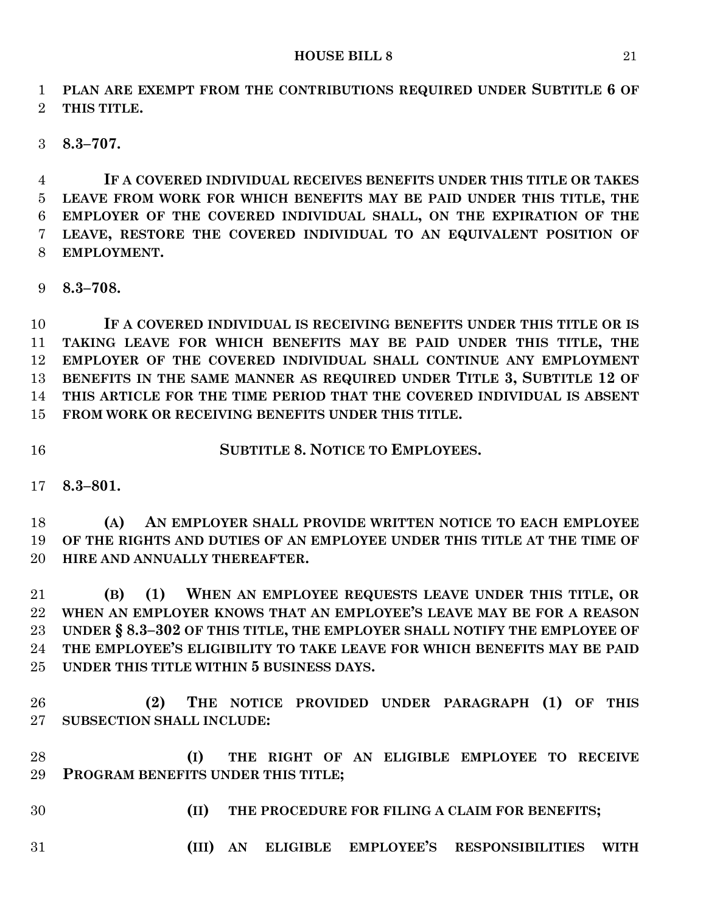**PLAN ARE EXEMPT FROM THE CONTRIBUTIONS REQUIRED UNDER SUBTITLE 6 OF THIS TITLE.**

**8.3–707.**

 **IF A COVERED INDIVIDUAL RECEIVES BENEFITS UNDER THIS TITLE OR TAKES LEAVE FROM WORK FOR WHICH BENEFITS MAY BE PAID UNDER THIS TITLE, THE EMPLOYER OF THE COVERED INDIVIDUAL SHALL, ON THE EXPIRATION OF THE LEAVE, RESTORE THE COVERED INDIVIDUAL TO AN EQUIVALENT POSITION OF EMPLOYMENT.**

**8.3–708.**

 **IF A COVERED INDIVIDUAL IS RECEIVING BENEFITS UNDER THIS TITLE OR IS TAKING LEAVE FOR WHICH BENEFITS MAY BE PAID UNDER THIS TITLE, THE EMPLOYER OF THE COVERED INDIVIDUAL SHALL CONTINUE ANY EMPLOYMENT BENEFITS IN THE SAME MANNER AS REQUIRED UNDER TITLE 3, SUBTITLE 12 OF THIS ARTICLE FOR THE TIME PERIOD THAT THE COVERED INDIVIDUAL IS ABSENT FROM WORK OR RECEIVING BENEFITS UNDER THIS TITLE.**

**SUBTITLE 8. NOTICE TO EMPLOYEES.**

**8.3–801.**

 **(A) AN EMPLOYER SHALL PROVIDE WRITTEN NOTICE TO EACH EMPLOYEE OF THE RIGHTS AND DUTIES OF AN EMPLOYEE UNDER THIS TITLE AT THE TIME OF HIRE AND ANNUALLY THEREAFTER.**

 **(B) (1) WHEN AN EMPLOYEE REQUESTS LEAVE UNDER THIS TITLE, OR WHEN AN EMPLOYER KNOWS THAT AN EMPLOYEE'S LEAVE MAY BE FOR A REASON UNDER § 8.3–302 OF THIS TITLE, THE EMPLOYER SHALL NOTIFY THE EMPLOYEE OF THE EMPLOYEE'S ELIGIBILITY TO TAKE LEAVE FOR WHICH BENEFITS MAY BE PAID UNDER THIS TITLE WITHIN 5 BUSINESS DAYS.**

 **(2) THE NOTICE PROVIDED UNDER PARAGRAPH (1) OF THIS SUBSECTION SHALL INCLUDE:**

 **(I) THE RIGHT OF AN ELIGIBLE EMPLOYEE TO RECEIVE PROGRAM BENEFITS UNDER THIS TITLE;**

- 
- **(II) THE PROCEDURE FOR FILING A CLAIM FOR BENEFITS;**
- **(III) AN ELIGIBLE EMPLOYEE'S RESPONSIBILITIES WITH**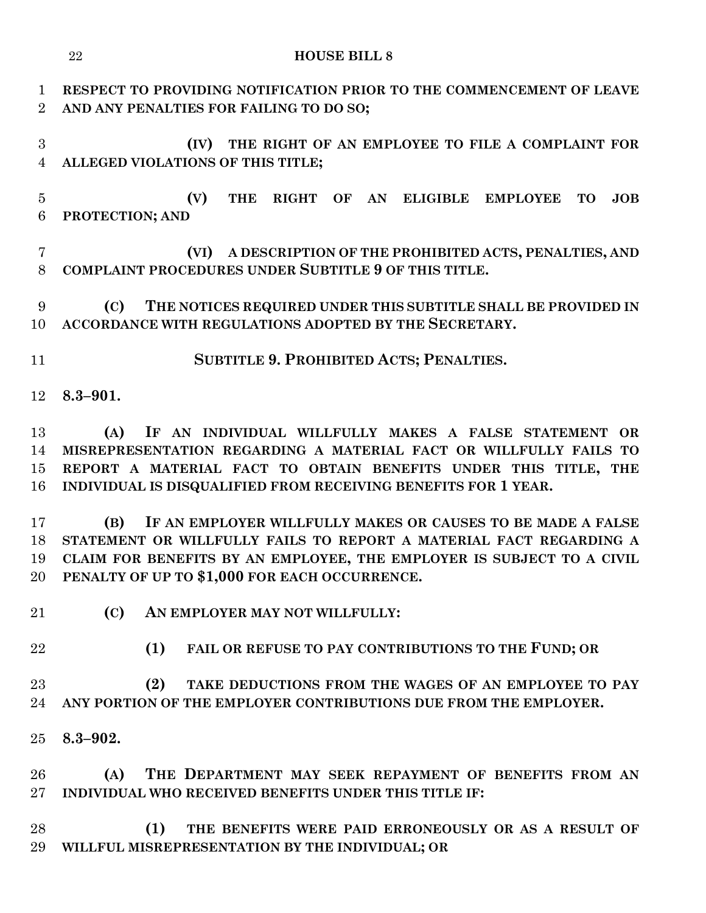| $\mathbf{1}$<br>$\overline{2}$               | RESPECT TO PROVIDING NOTIFICATION PRIOR TO THE COMMENCEMENT OF LEAVE<br>AND ANY PENALTIES FOR FAILING TO DO SO;                                                                                                                                                                                                                                                                                                                                                                                                                              |
|----------------------------------------------|----------------------------------------------------------------------------------------------------------------------------------------------------------------------------------------------------------------------------------------------------------------------------------------------------------------------------------------------------------------------------------------------------------------------------------------------------------------------------------------------------------------------------------------------|
| 3<br>$\overline{4}$                          | (IV)<br>THE RIGHT OF AN EMPLOYEE TO FILE A COMPLAINT FOR<br>ALLEGED VIOLATIONS OF THIS TITLE;                                                                                                                                                                                                                                                                                                                                                                                                                                                |
| $\overline{5}$<br>$6\phantom{.}6$            | RIGHT OF AN ELIGIBLE EMPLOYEE<br>(V)<br><b>THE</b><br>JOB<br><b>TO</b><br>PROTECTION; AND                                                                                                                                                                                                                                                                                                                                                                                                                                                    |
| $\overline{7}$<br>8                          | A DESCRIPTION OF THE PROHIBITED ACTS, PENALTIES, AND<br>(VI)<br>COMPLAINT PROCEDURES UNDER SUBTITLE 9 OF THIS TITLE.                                                                                                                                                                                                                                                                                                                                                                                                                         |
| 9<br>10                                      | THE NOTICES REQUIRED UNDER THIS SUBTITLE SHALL BE PROVIDED IN<br>(C)<br>ACCORDANCE WITH REGULATIONS ADOPTED BY THE SECRETARY.                                                                                                                                                                                                                                                                                                                                                                                                                |
| 11                                           | SUBTITLE 9. PROHIBITED ACTS; PENALTIES.                                                                                                                                                                                                                                                                                                                                                                                                                                                                                                      |
| 12                                           | $8.3 - 901.$                                                                                                                                                                                                                                                                                                                                                                                                                                                                                                                                 |
| 13<br>14<br>15<br>16<br>17<br>18<br>19<br>20 | IF AN INDIVIDUAL WILLFULLY MAKES A FALSE STATEMENT OR<br>(A)<br>MISREPRESENTATION REGARDING A MATERIAL FACT OR WILLFULLY FAILS TO<br>REPORT A MATERIAL FACT TO OBTAIN BENEFITS UNDER THIS TITLE, THE<br>INDIVIDUAL IS DISQUALIFIED FROM RECEIVING BENEFITS FOR 1 YEAR.<br>IF AN EMPLOYER WILLFULLY MAKES OR CAUSES TO BE MADE A FALSE<br>(B)<br>STATEMENT OR WILLFULLY FAILS TO REPORT A MATERIAL FACT REGARDING A<br>CLAIM FOR BENEFITS BY AN EMPLOYEE, THE EMPLOYER IS SUBJECT TO A CIVIL<br>PENALTY OF UP TO \$1,000 FOR EACH OCCURRENCE. |
| 21                                           | (C)<br>AN EMPLOYER MAY NOT WILLFULLY:                                                                                                                                                                                                                                                                                                                                                                                                                                                                                                        |
| 22                                           | (1)<br>FAIL OR REFUSE TO PAY CONTRIBUTIONS TO THE FUND; OR                                                                                                                                                                                                                                                                                                                                                                                                                                                                                   |
| 23<br>24                                     | (2)<br>TAKE DEDUCTIONS FROM THE WAGES OF AN EMPLOYEE TO PAY<br>ANY PORTION OF THE EMPLOYER CONTRIBUTIONS DUE FROM THE EMPLOYER.                                                                                                                                                                                                                                                                                                                                                                                                              |
| 25                                           | $8.3 - 902.$                                                                                                                                                                                                                                                                                                                                                                                                                                                                                                                                 |
| 26<br>$27\,$                                 | THE DEPARTMENT MAY SEEK REPAYMENT OF BENEFITS FROM AN<br>(A)<br>INDIVIDUAL WHO RECEIVED BENEFITS UNDER THIS TITLE IF:                                                                                                                                                                                                                                                                                                                                                                                                                        |
| 28<br>29                                     | (1)<br>THE BENEFITS WERE PAID ERRONEOUSLY OR AS A RESULT OF<br>WILLFUL MISREPRESENTATION BY THE INDIVIDUAL; OR                                                                                                                                                                                                                                                                                                                                                                                                                               |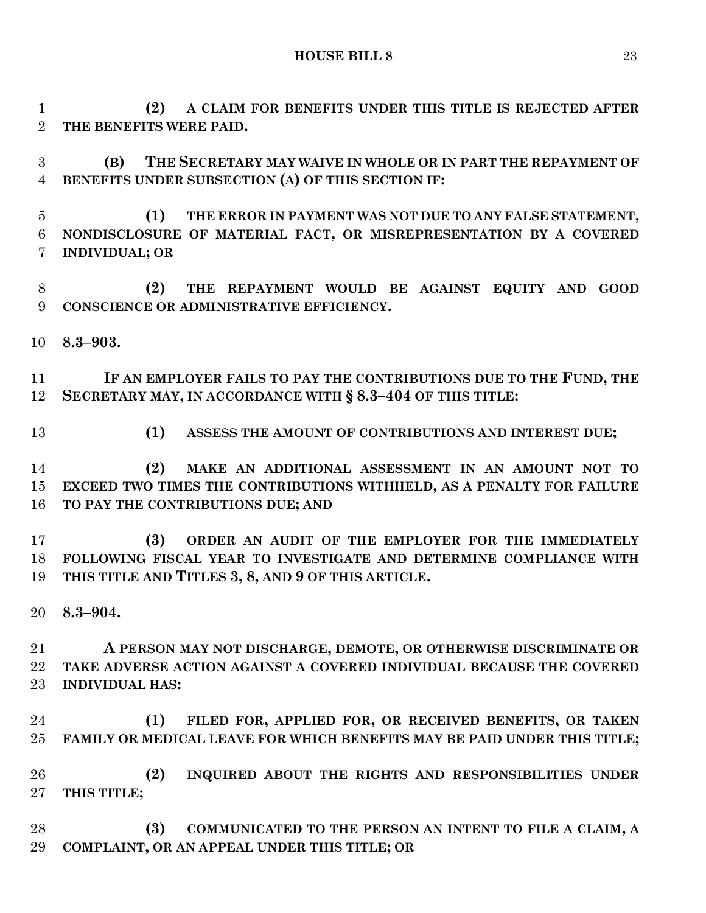**(2) A CLAIM FOR BENEFITS UNDER THIS TITLE IS REJECTED AFTER THE BENEFITS WERE PAID.**

 **(B) THE SECRETARY MAY WAIVE IN WHOLE OR IN PART THE REPAYMENT OF BENEFITS UNDER SUBSECTION (A) OF THIS SECTION IF:**

 **(1) THE ERROR IN PAYMENT WAS NOT DUE TO ANY FALSE STATEMENT, NONDISCLOSURE OF MATERIAL FACT, OR MISREPRESENTATION BY A COVERED INDIVIDUAL; OR**

 **(2) THE REPAYMENT WOULD BE AGAINST EQUITY AND GOOD CONSCIENCE OR ADMINISTRATIVE EFFICIENCY.**

**8.3–903.**

 **IF AN EMPLOYER FAILS TO PAY THE CONTRIBUTIONS DUE TO THE FUND, THE SECRETARY MAY, IN ACCORDANCE WITH § 8.3–404 OF THIS TITLE:**

**(1) ASSESS THE AMOUNT OF CONTRIBUTIONS AND INTEREST DUE;**

 **(2) MAKE AN ADDITIONAL ASSESSMENT IN AN AMOUNT NOT TO EXCEED TWO TIMES THE CONTRIBUTIONS WITHHELD, AS A PENALTY FOR FAILURE TO PAY THE CONTRIBUTIONS DUE; AND**

 **(3) ORDER AN AUDIT OF THE EMPLOYER FOR THE IMMEDIATELY FOLLOWING FISCAL YEAR TO INVESTIGATE AND DETERMINE COMPLIANCE WITH THIS TITLE AND TITLES 3, 8, AND 9 OF THIS ARTICLE.**

**8.3–904.**

 **A PERSON MAY NOT DISCHARGE, DEMOTE, OR OTHERWISE DISCRIMINATE OR TAKE ADVERSE ACTION AGAINST A COVERED INDIVIDUAL BECAUSE THE COVERED INDIVIDUAL HAS:**

 **(1) FILED FOR, APPLIED FOR, OR RECEIVED BENEFITS, OR TAKEN FAMILY OR MEDICAL LEAVE FOR WHICH BENEFITS MAY BE PAID UNDER THIS TITLE;**

 **(2) INQUIRED ABOUT THE RIGHTS AND RESPONSIBILITIES UNDER THIS TITLE;**

 **(3) COMMUNICATED TO THE PERSON AN INTENT TO FILE A CLAIM, A COMPLAINT, OR AN APPEAL UNDER THIS TITLE; OR**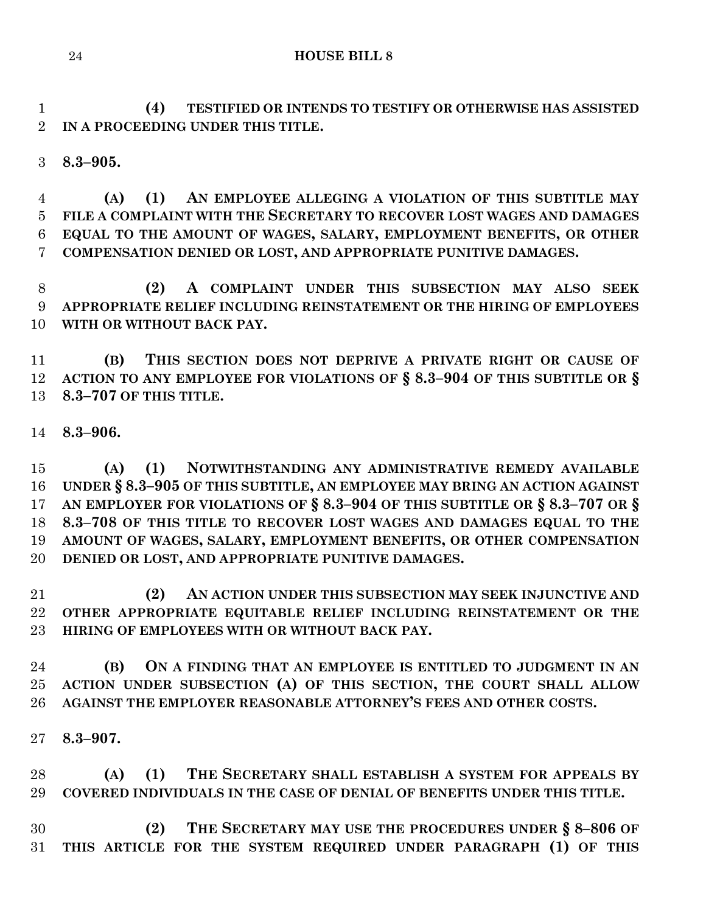**(4) TESTIFIED OR INTENDS TO TESTIFY OR OTHERWISE HAS ASSISTED IN A PROCEEDING UNDER THIS TITLE.**

**8.3–905.**

 **(A) (1) AN EMPLOYEE ALLEGING A VIOLATION OF THIS SUBTITLE MAY FILE A COMPLAINT WITH THE SECRETARY TO RECOVER LOST WAGES AND DAMAGES EQUAL TO THE AMOUNT OF WAGES, SALARY, EMPLOYMENT BENEFITS, OR OTHER COMPENSATION DENIED OR LOST, AND APPROPRIATE PUNITIVE DAMAGES.**

 **(2) A COMPLAINT UNDER THIS SUBSECTION MAY ALSO SEEK APPROPRIATE RELIEF INCLUDING REINSTATEMENT OR THE HIRING OF EMPLOYEES WITH OR WITHOUT BACK PAY.**

 **(B) THIS SECTION DOES NOT DEPRIVE A PRIVATE RIGHT OR CAUSE OF ACTION TO ANY EMPLOYEE FOR VIOLATIONS OF § 8.3–904 OF THIS SUBTITLE OR § 8.3–707 OF THIS TITLE.**

**8.3–906.**

 **(A) (1) NOTWITHSTANDING ANY ADMINISTRATIVE REMEDY AVAILABLE UNDER § 8.3–905 OF THIS SUBTITLE, AN EMPLOYEE MAY BRING AN ACTION AGAINST AN EMPLOYER FOR VIOLATIONS OF § 8.3–904 OF THIS SUBTITLE OR § 8.3–707 OR § 8.3–708 OF THIS TITLE TO RECOVER LOST WAGES AND DAMAGES EQUAL TO THE AMOUNT OF WAGES, SALARY, EMPLOYMENT BENEFITS, OR OTHER COMPENSATION DENIED OR LOST, AND APPROPRIATE PUNITIVE DAMAGES.**

 **(2) AN ACTION UNDER THIS SUBSECTION MAY SEEK INJUNCTIVE AND OTHER APPROPRIATE EQUITABLE RELIEF INCLUDING REINSTATEMENT OR THE HIRING OF EMPLOYEES WITH OR WITHOUT BACK PAY.**

 **(B) ON A FINDING THAT AN EMPLOYEE IS ENTITLED TO JUDGMENT IN AN ACTION UNDER SUBSECTION (A) OF THIS SECTION, THE COURT SHALL ALLOW AGAINST THE EMPLOYER REASONABLE ATTORNEY'S FEES AND OTHER COSTS.**

**8.3–907.**

 **(A) (1) THE SECRETARY SHALL ESTABLISH A SYSTEM FOR APPEALS BY COVERED INDIVIDUALS IN THE CASE OF DENIAL OF BENEFITS UNDER THIS TITLE.**

 **(2) THE SECRETARY MAY USE THE PROCEDURES UNDER § 8–806 OF THIS ARTICLE FOR THE SYSTEM REQUIRED UNDER PARAGRAPH (1) OF THIS**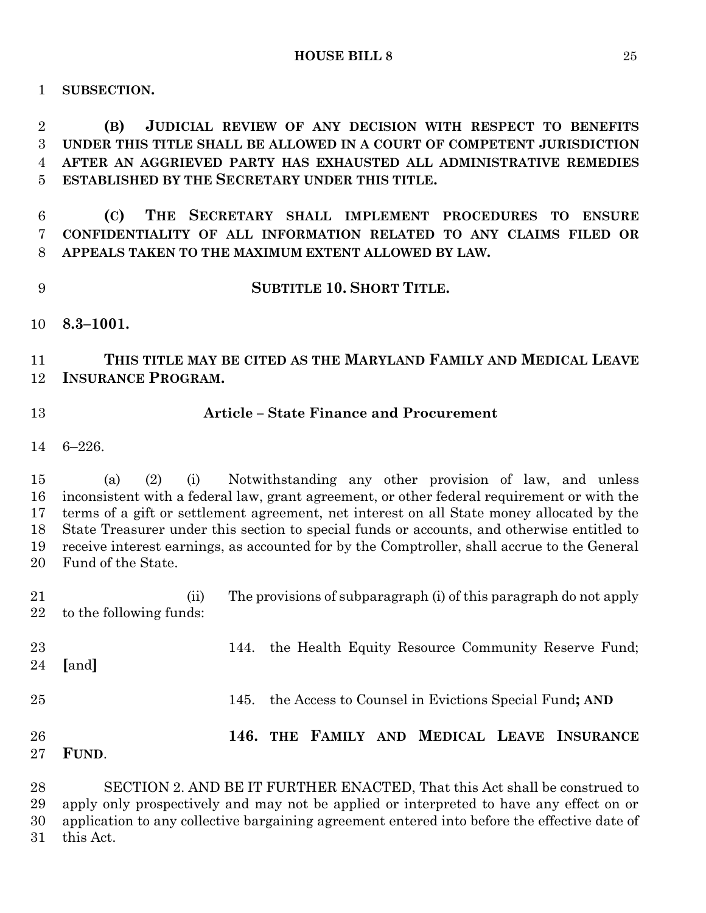**SUBSECTION.**

 **(B) JUDICIAL REVIEW OF ANY DECISION WITH RESPECT TO BENEFITS UNDER THIS TITLE SHALL BE ALLOWED IN A COURT OF COMPETENT JURISDICTION AFTER AN AGGRIEVED PARTY HAS EXHAUSTED ALL ADMINISTRATIVE REMEDIES ESTABLISHED BY THE SECRETARY UNDER THIS TITLE.**

 **(C) THE SECRETARY SHALL IMPLEMENT PROCEDURES TO ENSURE CONFIDENTIALITY OF ALL INFORMATION RELATED TO ANY CLAIMS FILED OR APPEALS TAKEN TO THE MAXIMUM EXTENT ALLOWED BY LAW.**

- **SUBTITLE 10. SHORT TITLE.**
- **8.3–1001.**

# **THIS TITLE MAY BE CITED AS THE MARYLAND FAMILY AND MEDICAL LEAVE INSURANCE PROGRAM.**

## **Article – State Finance and Procurement**

6–226.

 (a) (2) (i) Notwithstanding any other provision of law, and unless inconsistent with a federal law, grant agreement, or other federal requirement or with the terms of a gift or settlement agreement, net interest on all State money allocated by the State Treasurer under this section to special funds or accounts, and otherwise entitled to receive interest earnings, as accounted for by the Comptroller, shall accrue to the General Fund of the State.

 (ii) The provisions of subparagraph (i) of this paragraph do not apply to the following funds: 144. the Health Equity Resource Community Reserve Fund;

- **[**and**]** 145. the Access to Counsel in Evictions Special Fund**; AND**
	- **146. THE FAMILY AND MEDICAL LEAVE INSURANCE**
	- **FUND**.

 SECTION 2. AND BE IT FURTHER ENACTED, That this Act shall be construed to apply only prospectively and may not be applied or interpreted to have any effect on or application to any collective bargaining agreement entered into before the effective date of this Act.